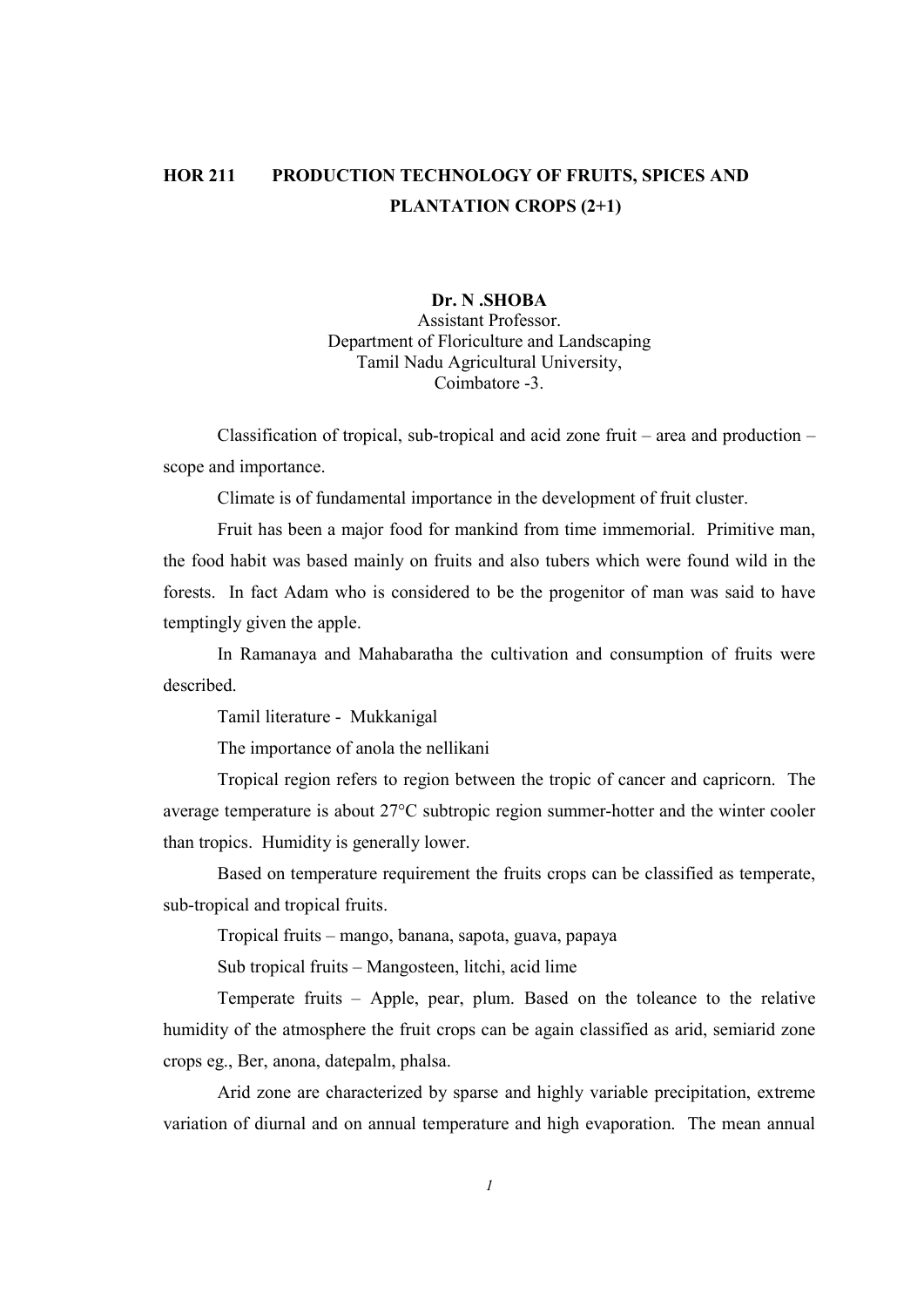# HOR 211 PRODUCTION TECHNOLOGY OF FRUITS, SPICES AND PLANTATION CROPS (2+1)

## Dr. N .SHOBA

Assistant Professor. Department of Floriculture and Landscaping Tamil Nadu Agricultural University, Coimbatore -3.

 Classification of tropical, sub-tropical and acid zone fruit – area and production – scope and importance.

Climate is of fundamental importance in the development of fruit cluster.

 Fruit has been a major food for mankind from time immemorial. Primitive man, the food habit was based mainly on fruits and also tubers which were found wild in the forests. In fact Adam who is considered to be the progenitor of man was said to have temptingly given the apple.

 In Ramanaya and Mahabaratha the cultivation and consumption of fruits were described.

Tamil literature - Mukkanigal

The importance of anola the nellikani

 Tropical region refers to region between the tropic of cancer and capricorn. The average temperature is about 27°C subtropic region summer-hotter and the winter cooler than tropics. Humidity is generally lower.

 Based on temperature requirement the fruits crops can be classified as temperate, sub-tropical and tropical fruits.

Tropical fruits – mango, banana, sapota, guava, papaya

Sub tropical fruits – Mangosteen, litchi, acid lime

 Temperate fruits – Apple, pear, plum. Based on the toleance to the relative humidity of the atmosphere the fruit crops can be again classified as arid, semiarid zone crops eg., Ber, anona, datepalm, phalsa.

 Arid zone are characterized by sparse and highly variable precipitation, extreme variation of diurnal and on annual temperature and high evaporation. The mean annual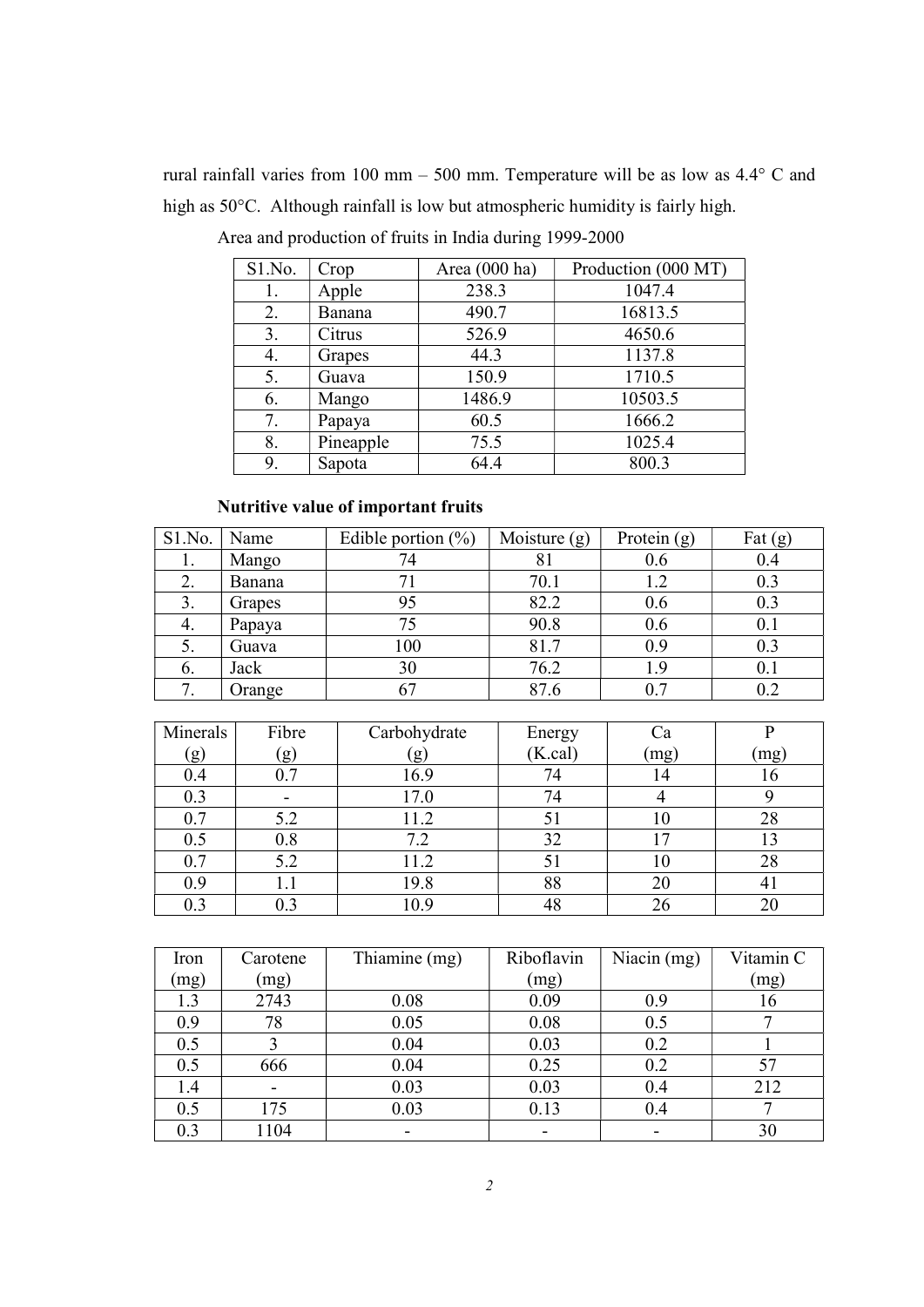rural rainfall varies from 100 mm – 500 mm. Temperature will be as low as 4.4° C and high as 50°C. Although rainfall is low but atmospheric humidity is fairly high.

| S1.No. | Crop      | Area (000 ha) | Production (000 MT) |
|--------|-----------|---------------|---------------------|
| 1.     | Apple     | 238.3         | 1047.4              |
| 2.     | Banana    | 490.7         | 16813.5             |
| 3.     | Citrus    | 526.9         | 4650.6              |
| 4.     | Grapes    | 44.3          | 1137.8              |
| 5.     | Guava     | 150.9         | 1710.5              |
| 6.     | Mango     | 1486.9        | 10503.5             |
| 7.     | Papaya    | 60.5          | 1666.2              |
| 8.     | Pineapple | 75.5          | 1025.4              |
| 9.     | Sapota    | 64.4          | 800.3               |

Area and production of fruits in India during 1999-2000

# Nutritive value of important fruits

| S1.No. | Name   | Edible portion $(\%)$ | Moisture $(g)$ | Protein $(g)$ | Fat $(g)$ |
|--------|--------|-----------------------|----------------|---------------|-----------|
|        | Mango  | 74                    | 81             | 0.6           | 0.4       |
| 2.     | Banana | 71                    | 70.1           | 1.2           | 0.3       |
| 3.     | Grapes | 95                    | 82.2           | 0.6           | 0.3       |
| 4.     | Papaya | 75                    | 90.8           | 0.6           | 0.1       |
| 5.     | Guava  | 100                   | 81.7           | 0.9           | 0.3       |
| 6.     | Jack   | 30                    | 76.2           | 1.9           | 0.1       |
| 7.     | Orange | 67                    | 87.6           | 0.7           | 0.2       |

| Minerals | Fibre     | Carbohydrate | Energy   | Сa   |         |
|----------|-----------|--------------|----------|------|---------|
| (g)      | (g)       | g            | (K. cal) | (mg) | [mg]    |
| 0.4      |           | 16.9         | 74       | 14   |         |
| 0.3      |           | 17.0         | 74       |      |         |
| 0.7      | 5.2       | 11.2         | 51       | 10   | 28      |
| 0.5      | 0.8       | 7.2          | 32       | 17   |         |
| 0.7      | 5.2       | 11.2         | 51       | 10   | 28      |
| 0.9      |           | 19.8         | 88       | 20   | $4_{1}$ |
| 0.3      | $\rm 0.3$ | 10.9         | 48       | 26   | 20      |

| Iron | Carotene | Thiamine (mg) | Riboflavin | Niacin $(mg)$ | Vitamin C |
|------|----------|---------------|------------|---------------|-----------|
| (mg) | (mg)     |               | (mg)       |               | (mg)      |
| 1.3  | 2743     | 0.08          | 0.09       | 0.9           | 16        |
| 0.9  | 78       | 0.05          | 0.08       | 0.5           |           |
| 0.5  |          | 0.04          | 0.03       | 0.2           |           |
| 0.5  | 666      | 0.04          | 0.25       | 0.2           |           |
| 1.4  |          | 0.03          | 0.03       | 0.4           | 212       |
| 0.5  | 175      | 0.03          | 0.13       | 0.4           |           |
| 0.3  | 1104     |               |            |               | 30        |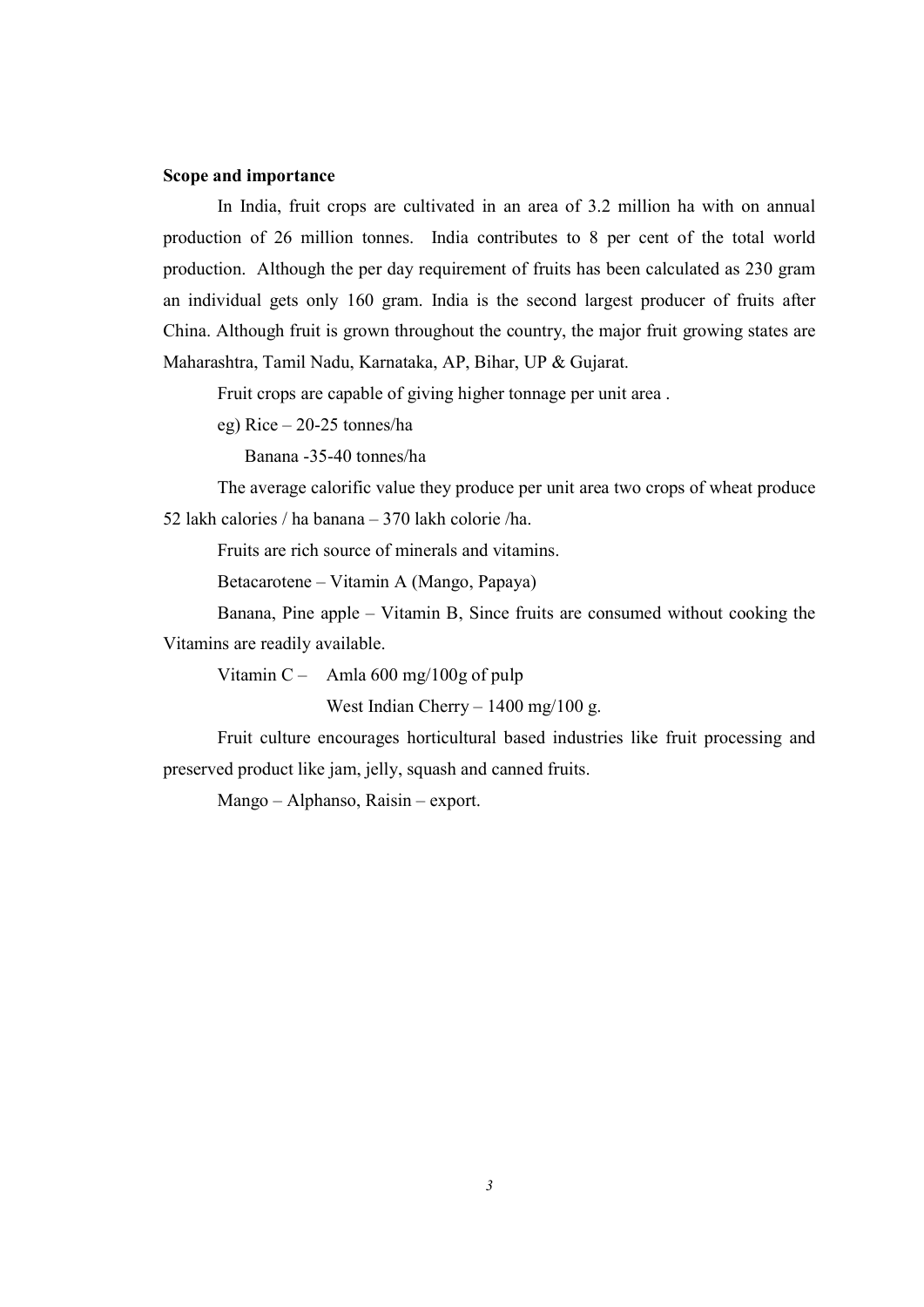#### Scope and importance

 In India, fruit crops are cultivated in an area of 3.2 million ha with on annual production of 26 million tonnes. India contributes to 8 per cent of the total world production. Although the per day requirement of fruits has been calculated as 230 gram an individual gets only 160 gram. India is the second largest producer of fruits after China. Although fruit is grown throughout the country, the major fruit growing states are Maharashtra, Tamil Nadu, Karnataka, AP, Bihar, UP & Gujarat.

Fruit crops are capable of giving higher tonnage per unit area .

eg) Rice – 20-25 tonnes/ha

Banana -35-40 tonnes/ha

 The average calorific value they produce per unit area two crops of wheat produce 52 lakh calories / ha banana – 370 lakh colorie /ha.

Fruits are rich source of minerals and vitamins.

Betacarotene – Vitamin A (Mango, Papaya)

 Banana, Pine apple – Vitamin B, Since fruits are consumed without cooking the Vitamins are readily available.

Vitamin C – Amla  $600 \text{ mg}/100 \text{g}$  of pulp

West Indian Cherry – 1400 mg/100 g.

 Fruit culture encourages horticultural based industries like fruit processing and preserved product like jam, jelly, squash and canned fruits.

Mango – Alphanso, Raisin – export.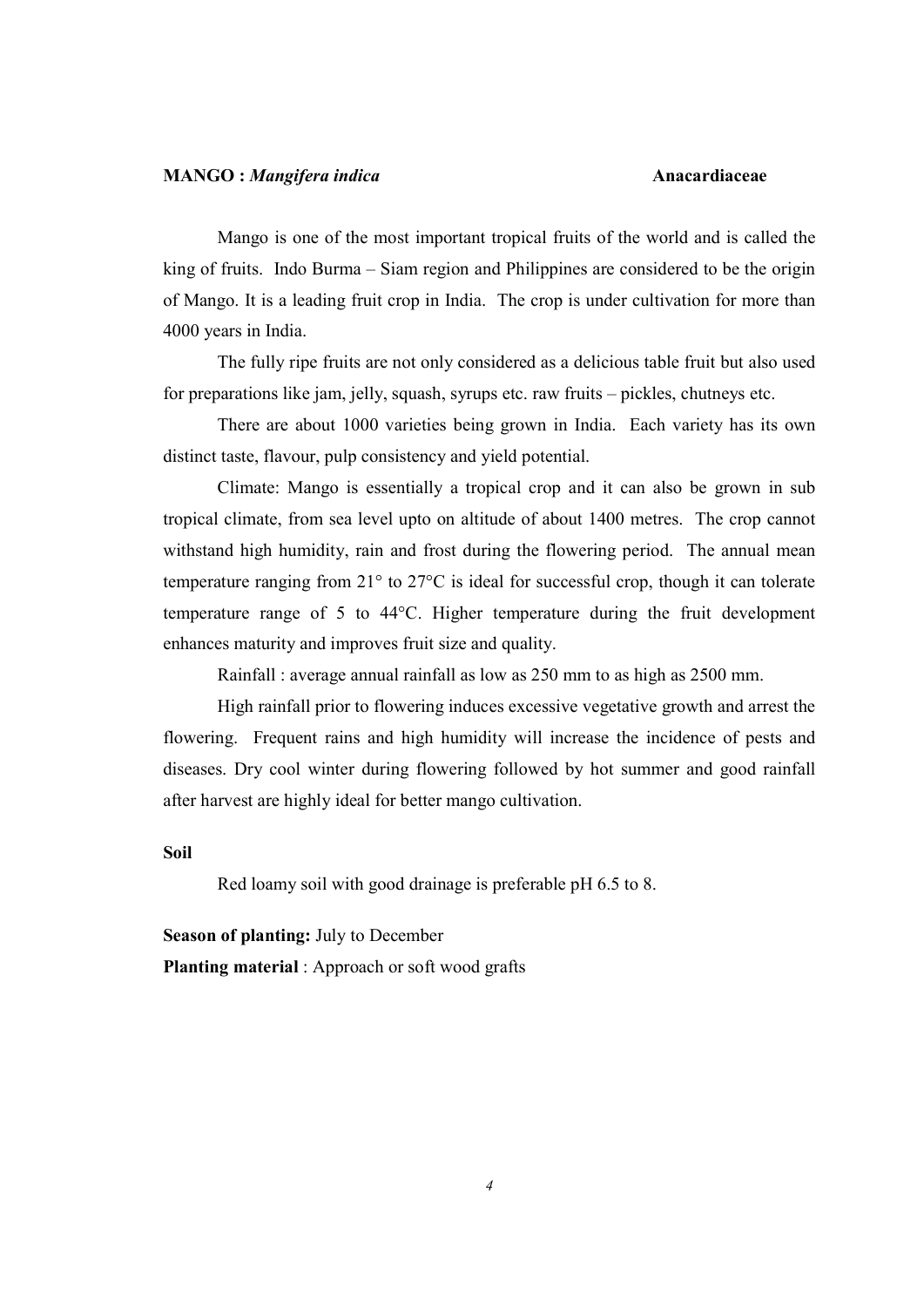#### MANGO : Mangifera indica Anacardiaceae

Mango is one of the most important tropical fruits of the world and is called the king of fruits. Indo Burma – Siam region and Philippines are considered to be the origin of Mango. It is a leading fruit crop in India. The crop is under cultivation for more than 4000 years in India.

 The fully ripe fruits are not only considered as a delicious table fruit but also used for preparations like jam, jelly, squash, syrups etc. raw fruits – pickles, chutneys etc.

 There are about 1000 varieties being grown in India. Each variety has its own distinct taste, flavour, pulp consistency and yield potential.

 Climate: Mango is essentially a tropical crop and it can also be grown in sub tropical climate, from sea level upto on altitude of about 1400 metres. The crop cannot withstand high humidity, rain and frost during the flowering period. The annual mean temperature ranging from 21° to 27°C is ideal for successful crop, though it can tolerate temperature range of 5 to 44°C. Higher temperature during the fruit development enhances maturity and improves fruit size and quality.

Rainfall : average annual rainfall as low as 250 mm to as high as 2500 mm.

 High rainfall prior to flowering induces excessive vegetative growth and arrest the flowering. Frequent rains and high humidity will increase the incidence of pests and diseases. Dry cool winter during flowering followed by hot summer and good rainfall after harvest are highly ideal for better mango cultivation.

#### Soil

Red loamy soil with good drainage is preferable pH 6.5 to 8.

Season of planting: July to December Planting material : Approach or soft wood grafts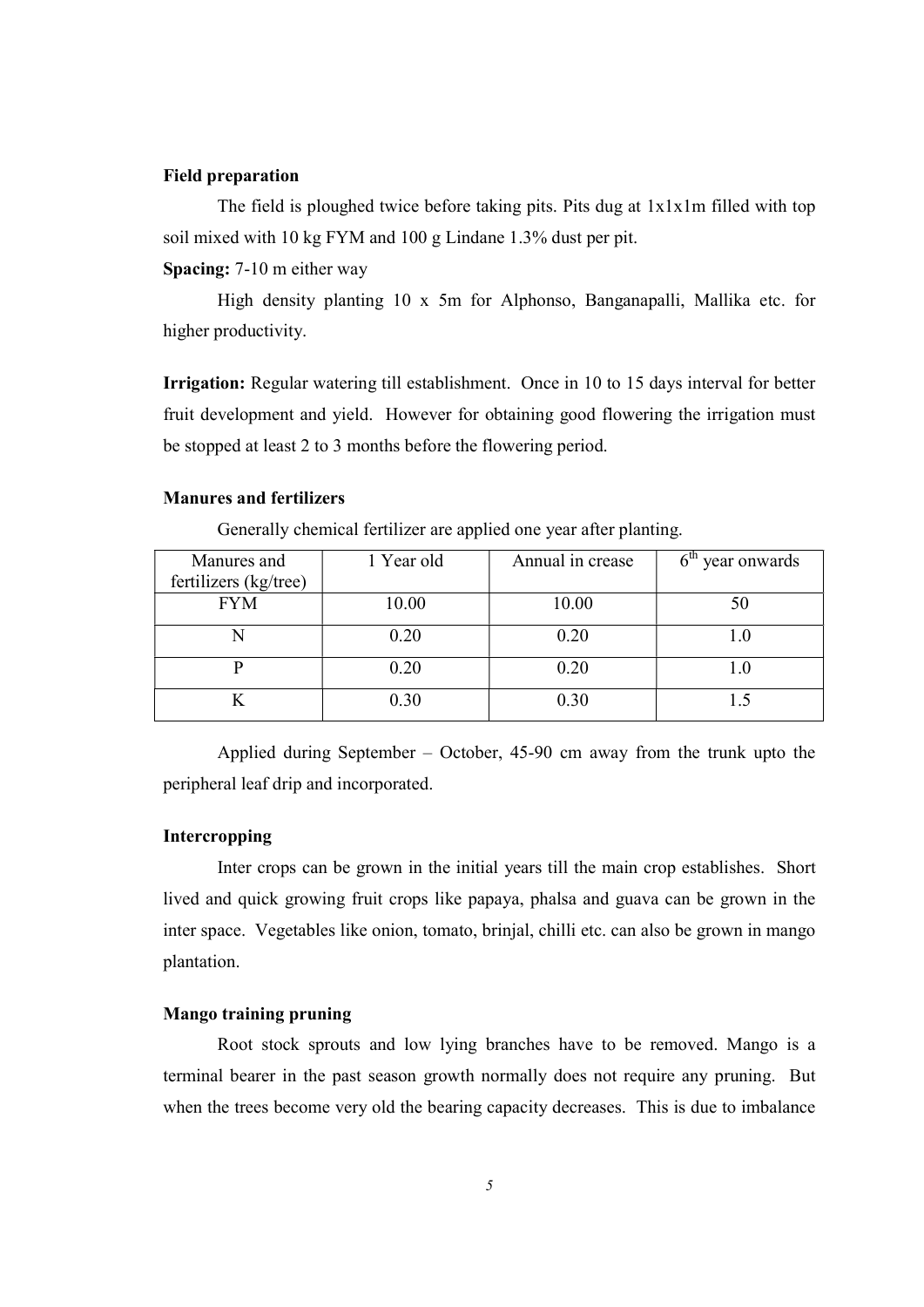## Field preparation

 The field is ploughed twice before taking pits. Pits dug at 1x1x1m filled with top soil mixed with 10 kg FYM and 100 g Lindane 1.3% dust per pit.

Spacing: 7-10 m either way

 High density planting 10 x 5m for Alphonso, Banganapalli, Mallika etc. for higher productivity.

Irrigation: Regular watering till establishment. Once in 10 to 15 days interval for better fruit development and yield. However for obtaining good flowering the irrigation must be stopped at least 2 to 3 months before the flowering period.

#### Manures and fertilizers

| Manures and           | 1 Year old | Annual in crease | $6th$ year onwards |
|-----------------------|------------|------------------|--------------------|
| fertilizers (kg/tree) |            |                  |                    |
| <b>FYM</b>            | 10.00      | 10.00            |                    |
|                       |            |                  |                    |
|                       | 0.20       | 0.20             |                    |
|                       |            |                  |                    |
|                       | 0.20       | 0.20             |                    |
|                       | 0.30       | 0.30             |                    |
|                       |            |                  |                    |

Generally chemical fertilizer are applied one year after planting.

 Applied during September – October, 45-90 cm away from the trunk upto the peripheral leaf drip and incorporated.

#### Intercropping

 Inter crops can be grown in the initial years till the main crop establishes. Short lived and quick growing fruit crops like papaya, phalsa and guava can be grown in the inter space. Vegetables like onion, tomato, brinjal, chilli etc. can also be grown in mango plantation.

## Mango training pruning

 Root stock sprouts and low lying branches have to be removed. Mango is a terminal bearer in the past season growth normally does not require any pruning. But when the trees become very old the bearing capacity decreases. This is due to imbalance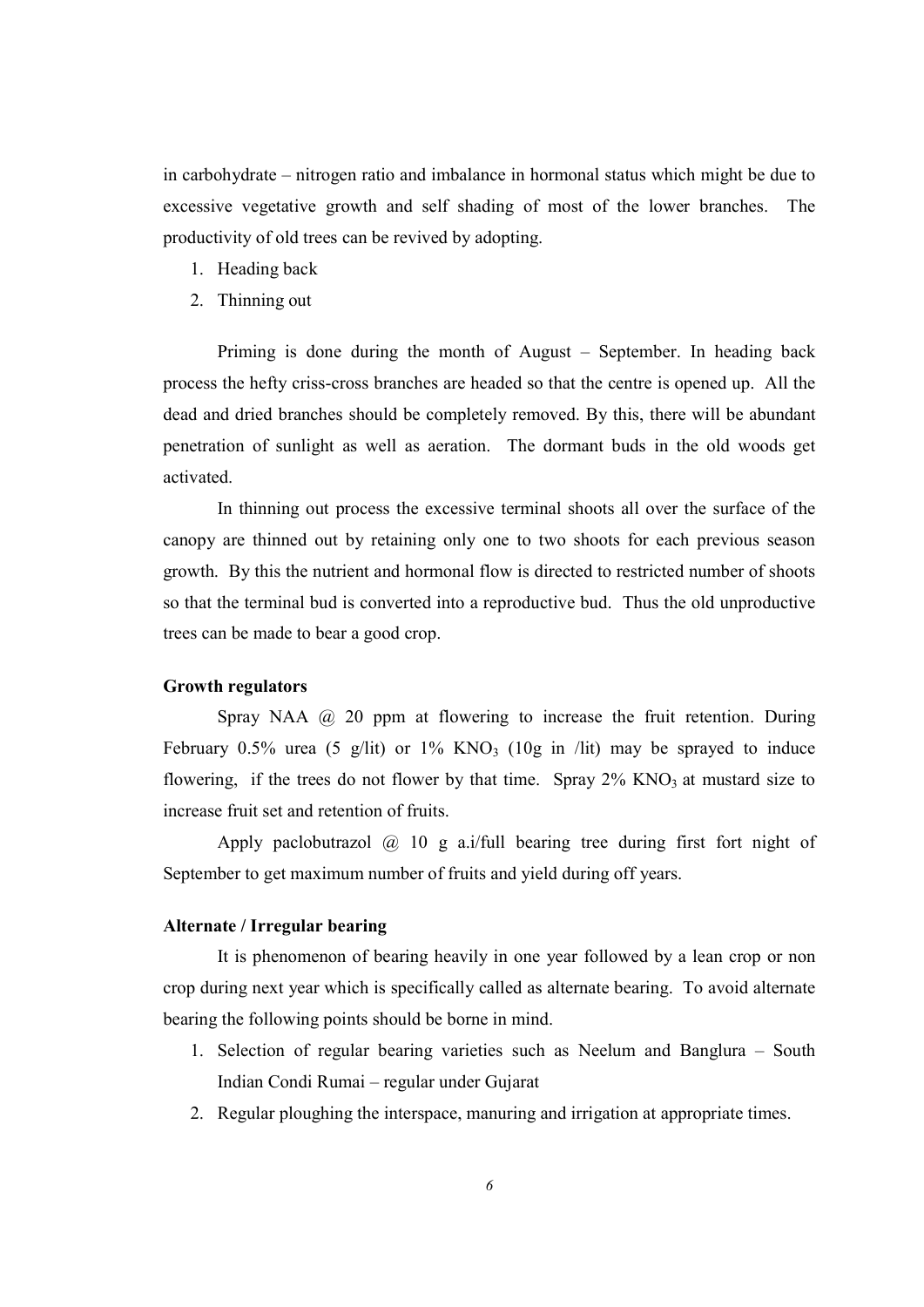in carbohydrate – nitrogen ratio and imbalance in hormonal status which might be due to excessive vegetative growth and self shading of most of the lower branches. The productivity of old trees can be revived by adopting.

- 1. Heading back
- 2. Thinning out

 Priming is done during the month of August – September. In heading back process the hefty criss-cross branches are headed so that the centre is opened up. All the dead and dried branches should be completely removed. By this, there will be abundant penetration of sunlight as well as aeration. The dormant buds in the old woods get activated.

 In thinning out process the excessive terminal shoots all over the surface of the canopy are thinned out by retaining only one to two shoots for each previous season growth. By this the nutrient and hormonal flow is directed to restricted number of shoots so that the terminal bud is converted into a reproductive bud. Thus the old unproductive trees can be made to bear a good crop.

#### Growth regulators

Spray NAA  $\omega$  20 ppm at flowering to increase the fruit retention. During February 0.5% urea (5 g/lit) or 1% KNO<sub>3</sub> (10g in /lit) may be sprayed to induce flowering, if the trees do not flower by that time. Spray  $2\%$  KNO<sub>3</sub> at mustard size to increase fruit set and retention of fruits.

Apply paclobutrazol  $\omega$  10 g a.i/full bearing tree during first fort night of September to get maximum number of fruits and yield during off years.

#### Alternate / Irregular bearing

It is phenomenon of bearing heavily in one year followed by a lean crop or non crop during next year which is specifically called as alternate bearing. To avoid alternate bearing the following points should be borne in mind.

- 1. Selection of regular bearing varieties such as Neelum and Banglura South Indian Condi Rumai – regular under Gujarat
- 2. Regular ploughing the interspace, manuring and irrigation at appropriate times.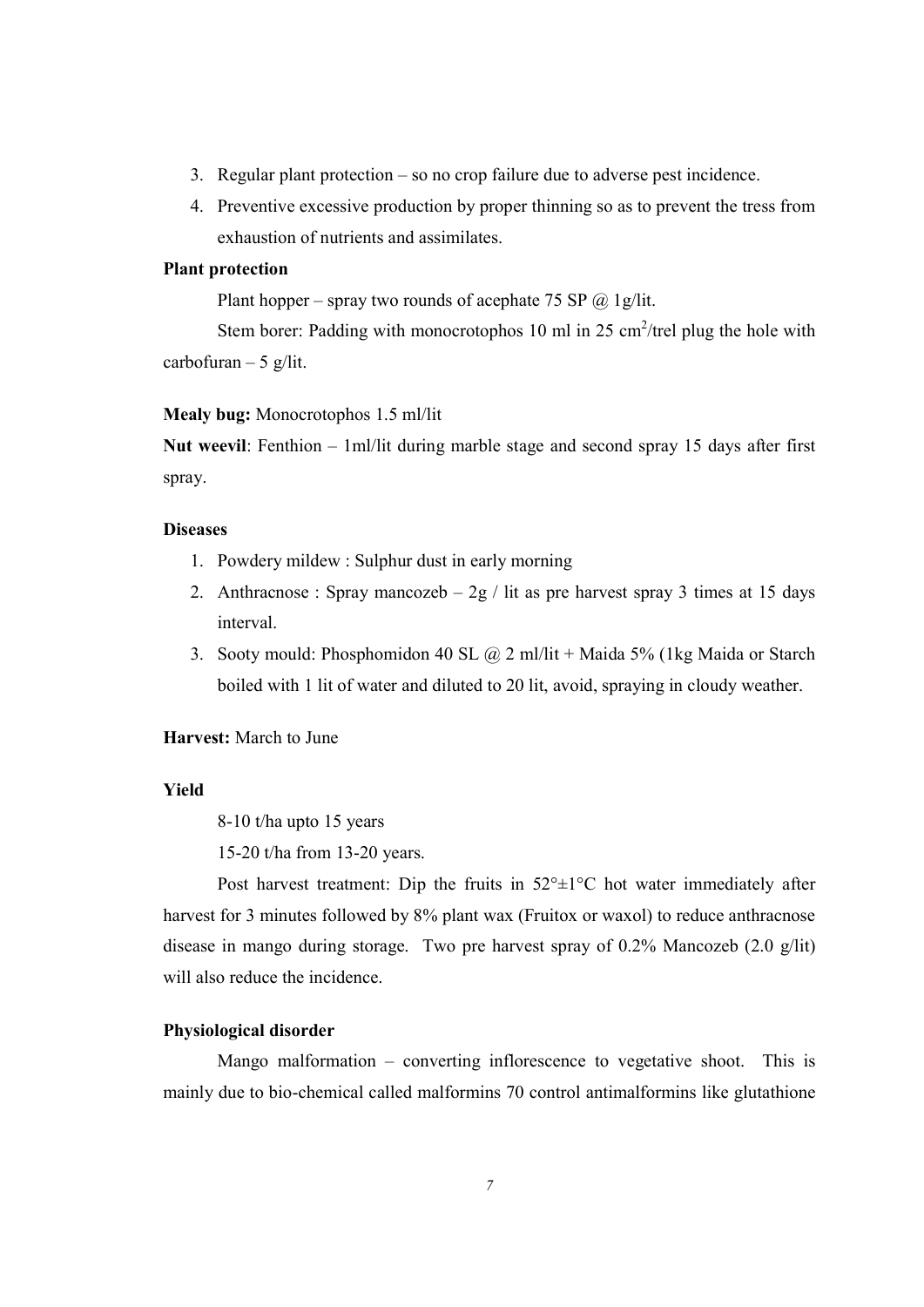- 3. Regular plant protection so no crop failure due to adverse pest incidence.
- 4. Preventive excessive production by proper thinning so as to prevent the tress from exhaustion of nutrients and assimilates.

## Plant protection

Plant hopper – spray two rounds of acephate 75 SP  $\omega$  1g/lit.

Stem borer: Padding with monocrotophos 10 ml in 25 cm<sup>2</sup>/trel plug the hole with carbofuran  $-5$  g/lit.

#### Mealy bug: Monocrotophos 1.5 ml/lit

Nut weevil: Fenthion – 1ml/lit during marble stage and second spray 15 days after first spray.

#### **Diseases**

- 1. Powdery mildew : Sulphur dust in early morning
- 2. Anthracnose : Spray mancozeb  $-2g /$  lit as pre harvest spray 3 times at 15 days interval.
- 3. Sooty mould: Phosphomidon 40 SL  $\omega$  2 ml/lit + Maida 5% (1kg Maida or Starch boiled with 1 lit of water and diluted to 20 lit, avoid, spraying in cloudy weather.

#### Harvest: March to June

## Yield

8-10 t/ha upto 15 years

15-20 t/ha from 13-20 years.

Post harvest treatment: Dip the fruits in  $52^{\circ} \pm 1^{\circ}$ C hot water immediately after harvest for 3 minutes followed by 8% plant wax (Fruitox or waxol) to reduce anthracnose disease in mango during storage. Two pre harvest spray of 0.2% Mancozeb (2.0 g/lit) will also reduce the incidence.

## Physiological disorder

 Mango malformation – converting inflorescence to vegetative shoot. This is mainly due to bio-chemical called malformins 70 control antimalformins like glutathione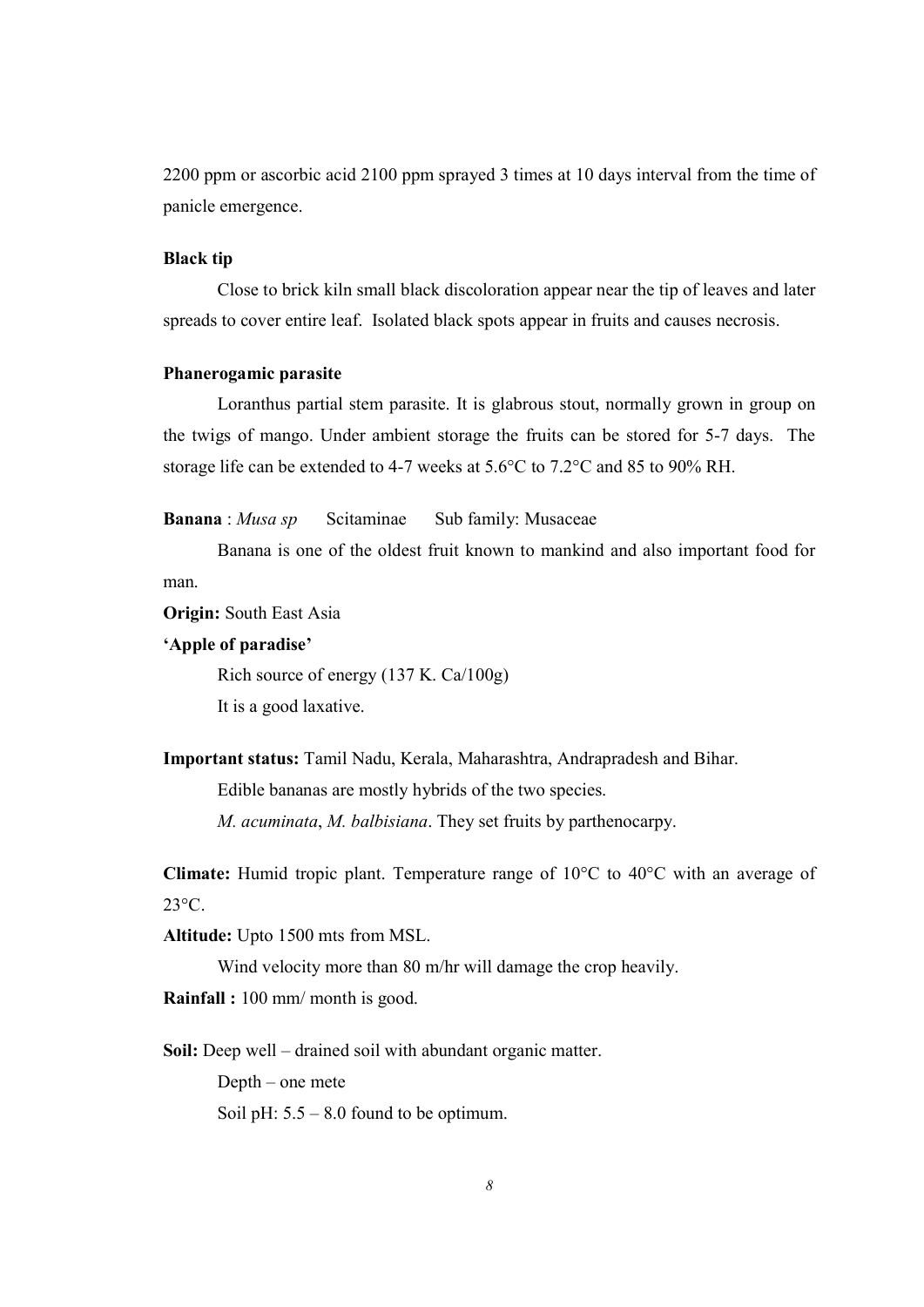2200 ppm or ascorbic acid 2100 ppm sprayed 3 times at 10 days interval from the time of panicle emergence.

## Black tip

 Close to brick kiln small black discoloration appear near the tip of leaves and later spreads to cover entire leaf. Isolated black spots appear in fruits and causes necrosis.

#### Phanerogamic parasite

 Loranthus partial stem parasite. It is glabrous stout, normally grown in group on the twigs of mango. Under ambient storage the fruits can be stored for 5-7 days. The storage life can be extended to 4-7 weeks at 5.6°C to 7.2°C and 85 to 90% RH.

Banana : Musa sp Scitaminae Sub family: Musaceae

 Banana is one of the oldest fruit known to mankind and also important food for man.

Origin: South East Asia

#### 'Apple of paradise'

Rich source of energy (137 K. Ca/100g)

It is a good laxative.

Important status: Tamil Nadu, Kerala, Maharashtra, Andrapradesh and Bihar.

Edible bananas are mostly hybrids of the two species.

M. acuminata, M. balbisiana. They set fruits by parthenocarpy.

Climate: Humid tropic plant. Temperature range of 10°C to 40°C with an average of 23°C.

Altitude: Upto 1500 mts from MSL.

Wind velocity more than 80 m/hr will damage the crop heavily.

Rainfall : 100 mm/ month is good.

Soil: Deep well – drained soil with abundant organic matter.

Depth – one mete

Soil pH:  $5.5 - 8.0$  found to be optimum.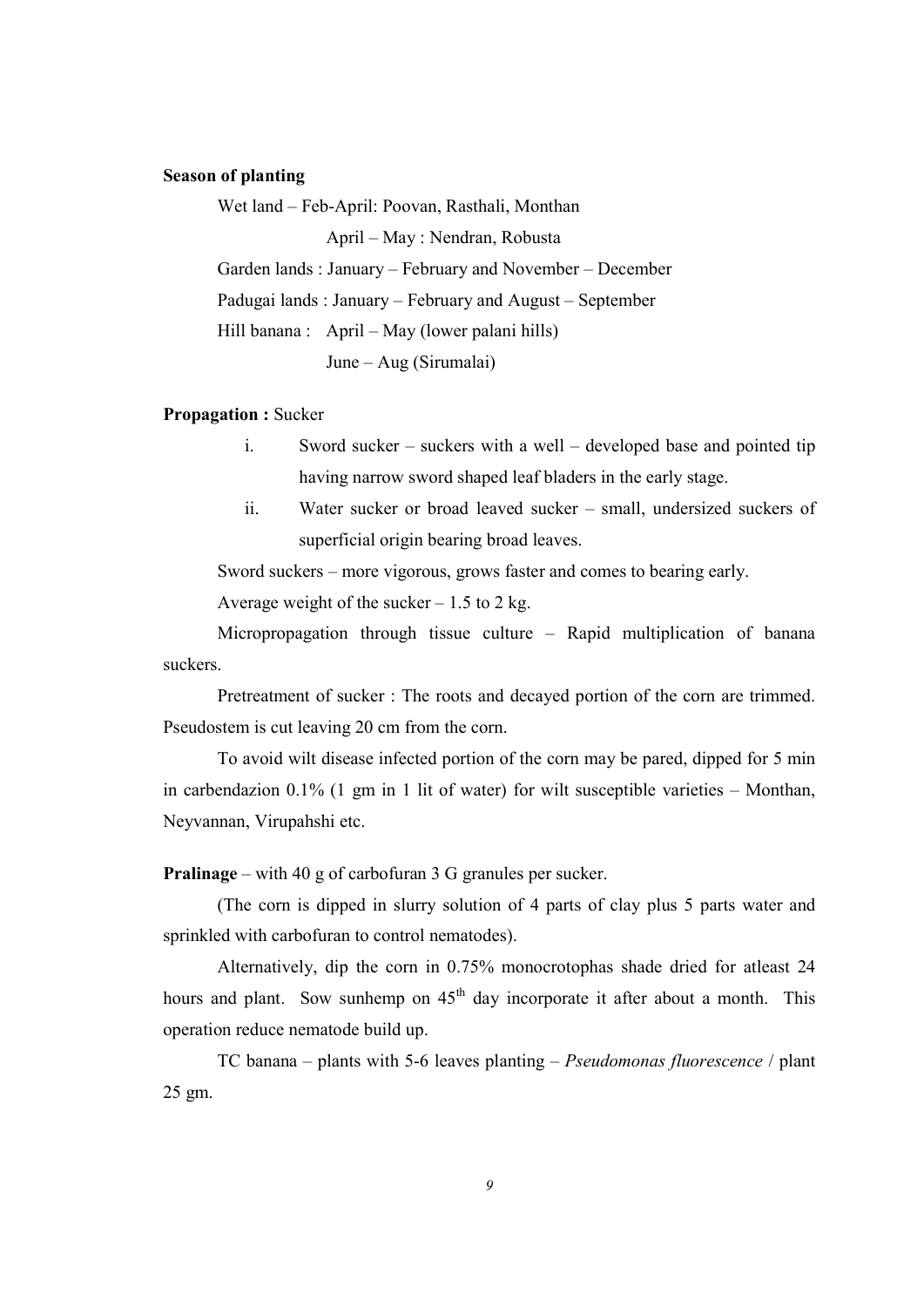## Season of planting

 Wet land – Feb-April: Poovan, Rasthali, Monthan April – May : Nendran, Robusta Garden lands : January – February and November – December Padugai lands : January – February and August – September Hill banana : April – May (lower palani hills) June – Aug (Sirumalai)

#### Propagation : Sucker

- i. Sword sucker suckers with a well developed base and pointed tip having narrow sword shaped leaf bladers in the early stage.
- ii. Water sucker or broad leaved sucker small, undersized suckers of superficial origin bearing broad leaves.

Sword suckers – more vigorous, grows faster and comes to bearing early.

Average weight of the sucker  $-1.5$  to 2 kg.

 Micropropagation through tissue culture – Rapid multiplication of banana suckers.

 Pretreatment of sucker : The roots and decayed portion of the corn are trimmed. Pseudostem is cut leaving 20 cm from the corn.

 To avoid wilt disease infected portion of the corn may be pared, dipped for 5 min in carbendazion 0.1% (1 gm in 1 lit of water) for wilt susceptible varieties – Monthan, Neyvannan, Virupahshi etc.

Pralinage – with 40 g of carbofuran 3 G granules per sucker.

 (The corn is dipped in slurry solution of 4 parts of clay plus 5 parts water and sprinkled with carbofuran to control nematodes).

 Alternatively, dip the corn in 0.75% monocrotophas shade dried for atleast 24 hours and plant. Sow sunhemp on  $45<sup>th</sup>$  day incorporate it after about a month. This operation reduce nematode build up.

TC banana – plants with 5-6 leaves planting – *Pseudomonas fluorescence* / plant 25 gm.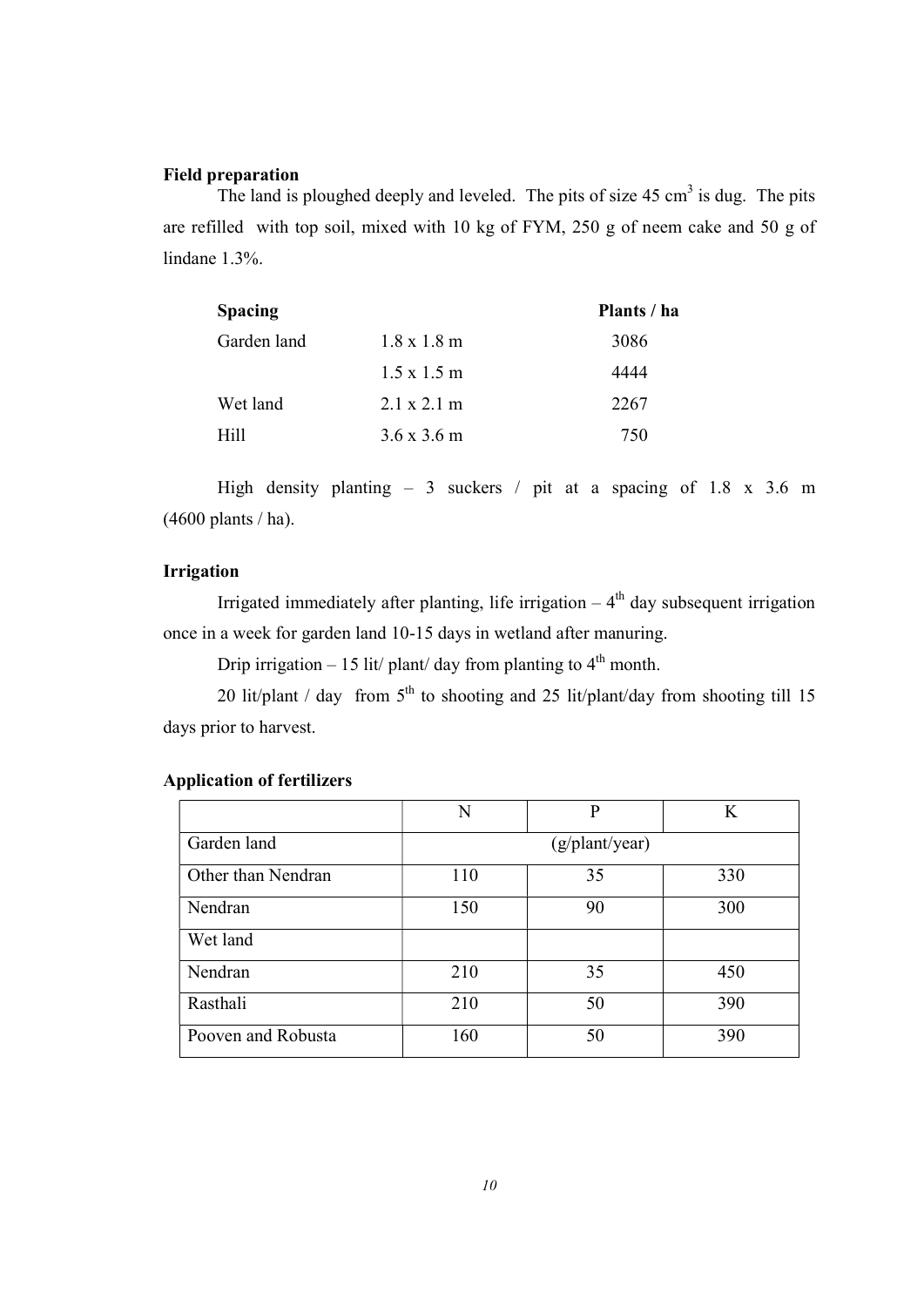#### Field preparation

The land is ploughed deeply and leveled. The pits of size  $45 \text{ cm}^3$  is dug. The pits are refilled with top soil, mixed with 10 kg of FYM, 250 g of neem cake and 50 g of lindane 1.3%.

| <b>Spacing</b> |                            | Plants / ha |
|----------------|----------------------------|-------------|
| Garden land    | $1.8 \times 1.8 \text{ m}$ | 3086        |
|                | $1.5 \times 1.5 \text{ m}$ | 4444        |
| Wet land       | $2.1 \times 2.1 \text{ m}$ | 2267        |
| Hill           | $3.6 \times 3.6 \text{ m}$ | 750         |

High density planting – 3 suckers / pit at a spacing of 1.8 x 3.6 m (4600 plants / ha).

## Irrigation

Irrigated immediately after planting, life irrigation  $-4<sup>th</sup>$  day subsequent irrigation once in a week for garden land 10-15 days in wetland after manuring.

Drip irrigation – 15 lit/ plant/ day from planting to  $4<sup>th</sup>$  month.

20 lit/plant / day from  $5<sup>th</sup>$  to shooting and 25 lit/plant/day from shooting till 15 days prior to harvest.

|                    | N   | P              | K   |
|--------------------|-----|----------------|-----|
| Garden land        |     | (g/plant/year) |     |
| Other than Nendran | 110 | 35             | 330 |
| Nendran            | 150 | 90             | 300 |
| Wet land           |     |                |     |
| Nendran            | 210 | 35             | 450 |
| Rasthali           | 210 | 50             | 390 |
| Pooven and Robusta | 160 | 50             | 390 |

## Application of fertilizers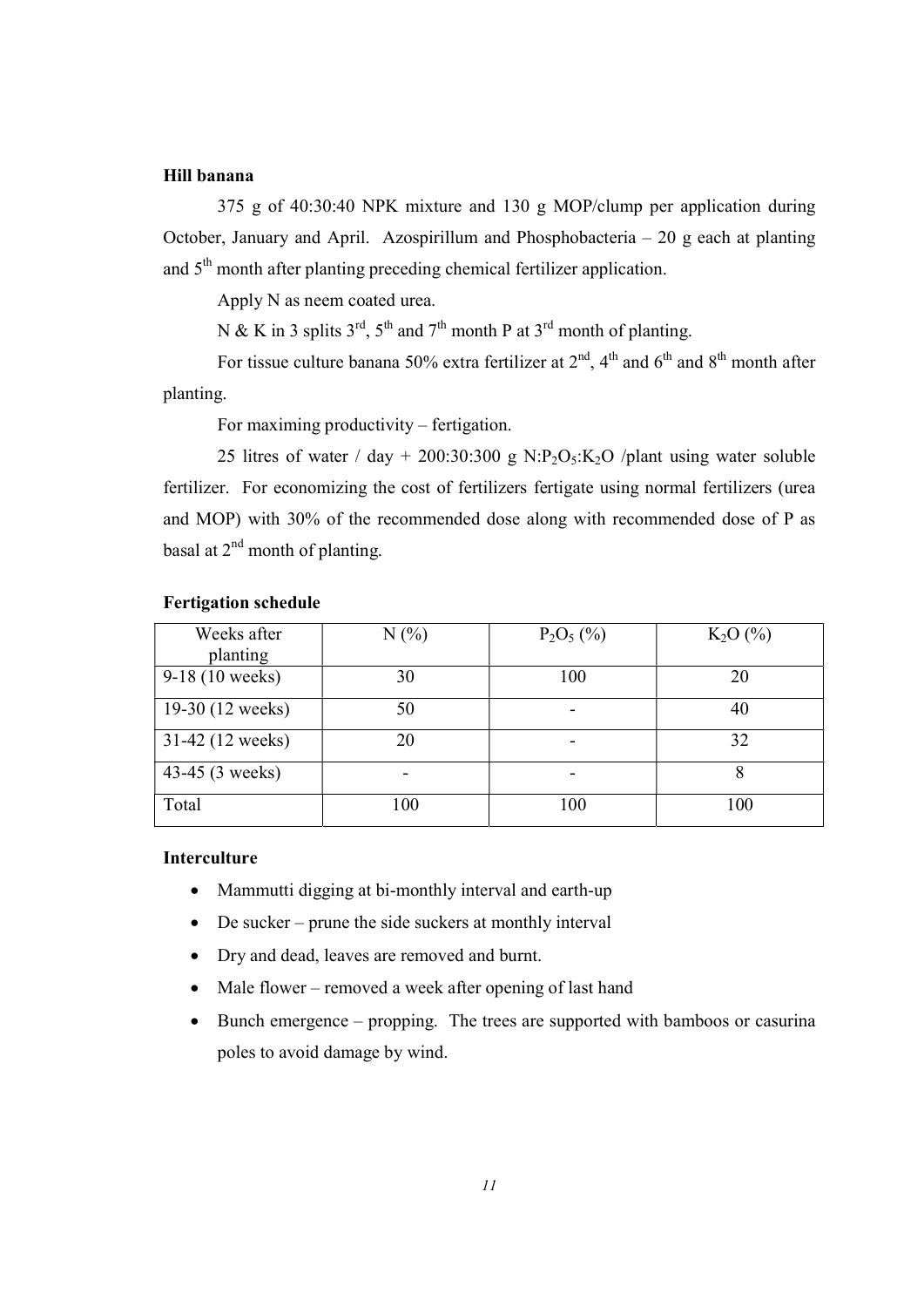## Hill banana

 375 g of 40:30:40 NPK mixture and 130 g MOP/clump per application during October, January and April. Azospirillum and Phosphobacteria  $-20$  g each at planting and 5<sup>th</sup> month after planting preceding chemical fertilizer application.

Apply N as neem coated urea.

N & K in 3 splits  $3^{\text{rd}}$ ,  $5^{\text{th}}$  and  $7^{\text{th}}$  month P at  $3^{\text{rd}}$  month of planting.

For tissue culture banana 50% extra fertilizer at  $2<sup>nd</sup>$ ,  $4<sup>th</sup>$  and  $6<sup>th</sup>$  and  $8<sup>th</sup>$  month after planting.

For maximing productivity – fertigation.

25 litres of water / day + 200:30:300 g N:P<sub>2</sub>O<sub>5</sub>:K<sub>2</sub>O /plant using water soluble fertilizer. For economizing the cost of fertilizers fertigate using normal fertilizers (urea and MOP) with 30% of the recommended dose along with recommended dose of P as basal at  $2^{nd}$  month of planting.

| Weeks after      | N(%) | $P_2O_5$ (%) | $K_2O(%)$ |
|------------------|------|--------------|-----------|
| planting         |      |              |           |
| 9-18 (10 weeks)  | 30   | 100          | 20        |
| 19-30 (12 weeks) | 50   |              | 40        |
| 31-42 (12 weeks) | 20   |              | 32        |
| 43-45 (3 weeks)  |      |              |           |
| Total            | 100  | 100          | 100       |

## Fertigation schedule

#### Interculture

- Mammutti digging at bi-monthly interval and earth-up
- De sucker prune the side suckers at monthly interval
- Dry and dead, leaves are removed and burnt.
- Male flower removed a week after opening of last hand
- Bunch emergence propping. The trees are supported with bamboos or casurina poles to avoid damage by wind.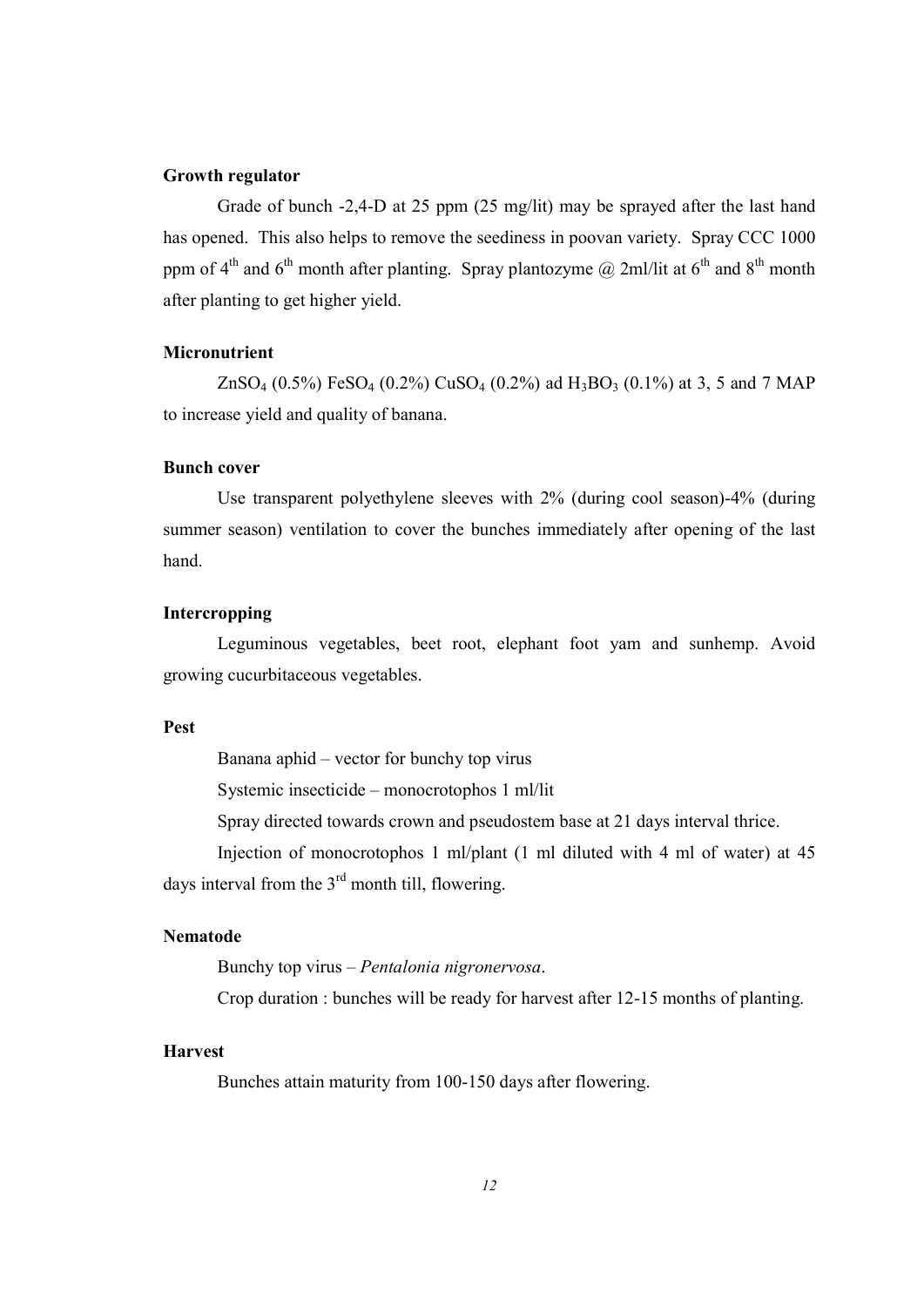#### Growth regulator

 Grade of bunch -2,4-D at 25 ppm (25 mg/lit) may be sprayed after the last hand has opened. This also helps to remove the seediness in poovan variety. Spray CCC 1000 ppm of  $4^{th}$  and  $6^{th}$  month after planting. Spray plantozyme  $\omega$  2ml/lit at  $6^{th}$  and  $8^{th}$  month after planting to get higher yield.

## **Micronutrient**

ZnSO<sub>4</sub> (0.5%) FeSO<sub>4</sub> (0.2%) CuSO<sub>4</sub> (0.2%) ad H<sub>3</sub>BO<sub>3</sub> (0.1%) at 3, 5 and 7 MAP to increase yield and quality of banana.

## Bunch cover

 Use transparent polyethylene sleeves with 2% (during cool season)-4% (during summer season) ventilation to cover the bunches immediately after opening of the last hand.

## Intercropping

 Leguminous vegetables, beet root, elephant foot yam and sunhemp. Avoid growing cucurbitaceous vegetables.

#### Pest

Banana aphid – vector for bunchy top virus

Systemic insecticide – monocrotophos 1 ml/lit

Spray directed towards crown and pseudostem base at 21 days interval thrice.

 Injection of monocrotophos 1 ml/plant (1 ml diluted with 4 ml of water) at 45 days interval from the  $3<sup>rd</sup>$  month till, flowering.

#### Nematode

Bunchy top virus – Pentalonia nigronervosa.

Crop duration : bunches will be ready for harvest after 12-15 months of planting.

#### Harvest

Bunches attain maturity from 100-150 days after flowering.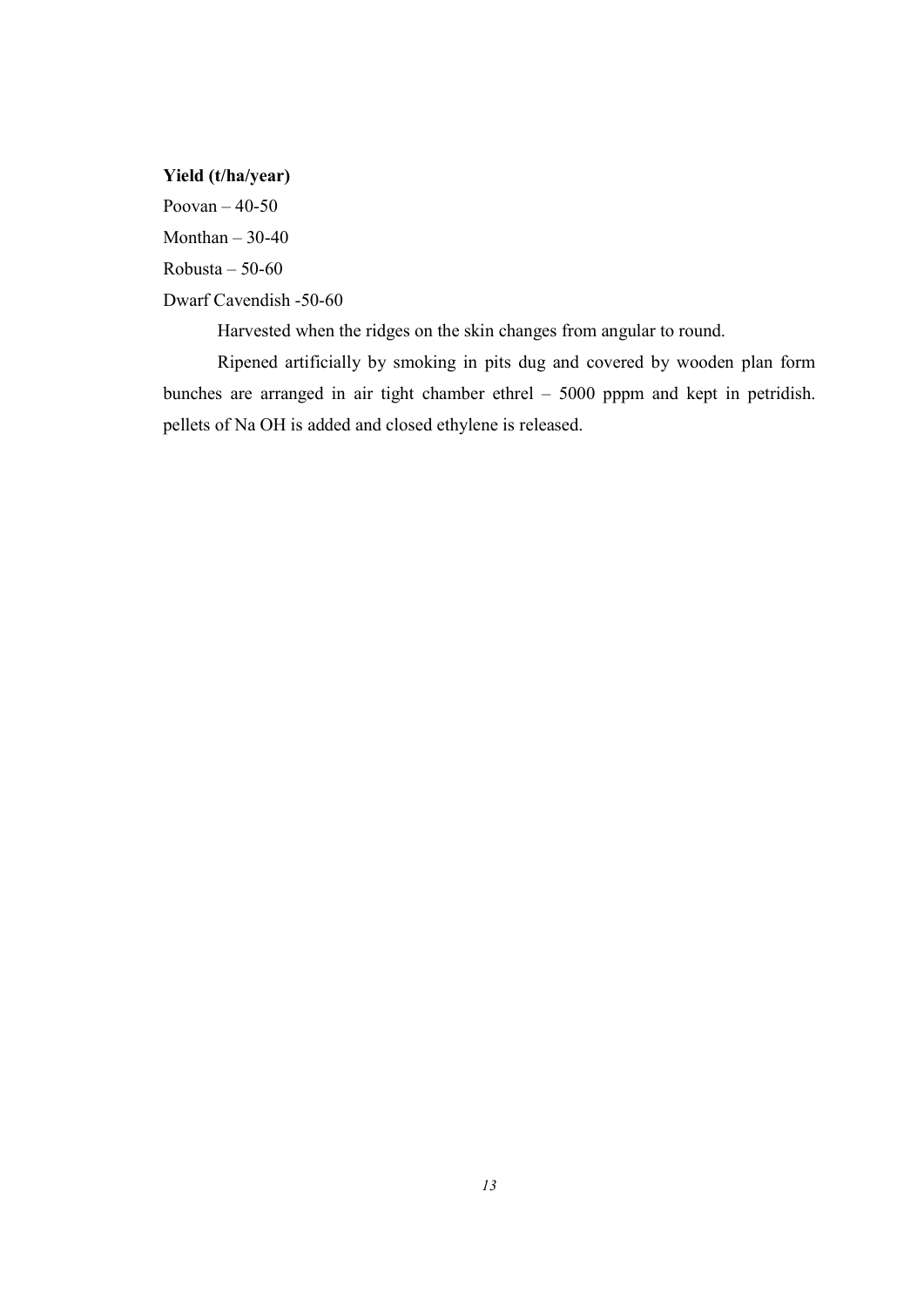Yield (t/ha/year)

Poovan – 40-50

Monthan  $-30-40$ 

 $Robusta - 50-60$ 

Dwarf Cavendish -50-60

Harvested when the ridges on the skin changes from angular to round.

 Ripened artificially by smoking in pits dug and covered by wooden plan form bunches are arranged in air tight chamber ethrel – 5000 pppm and kept in petridish. pellets of Na OH is added and closed ethylene is released.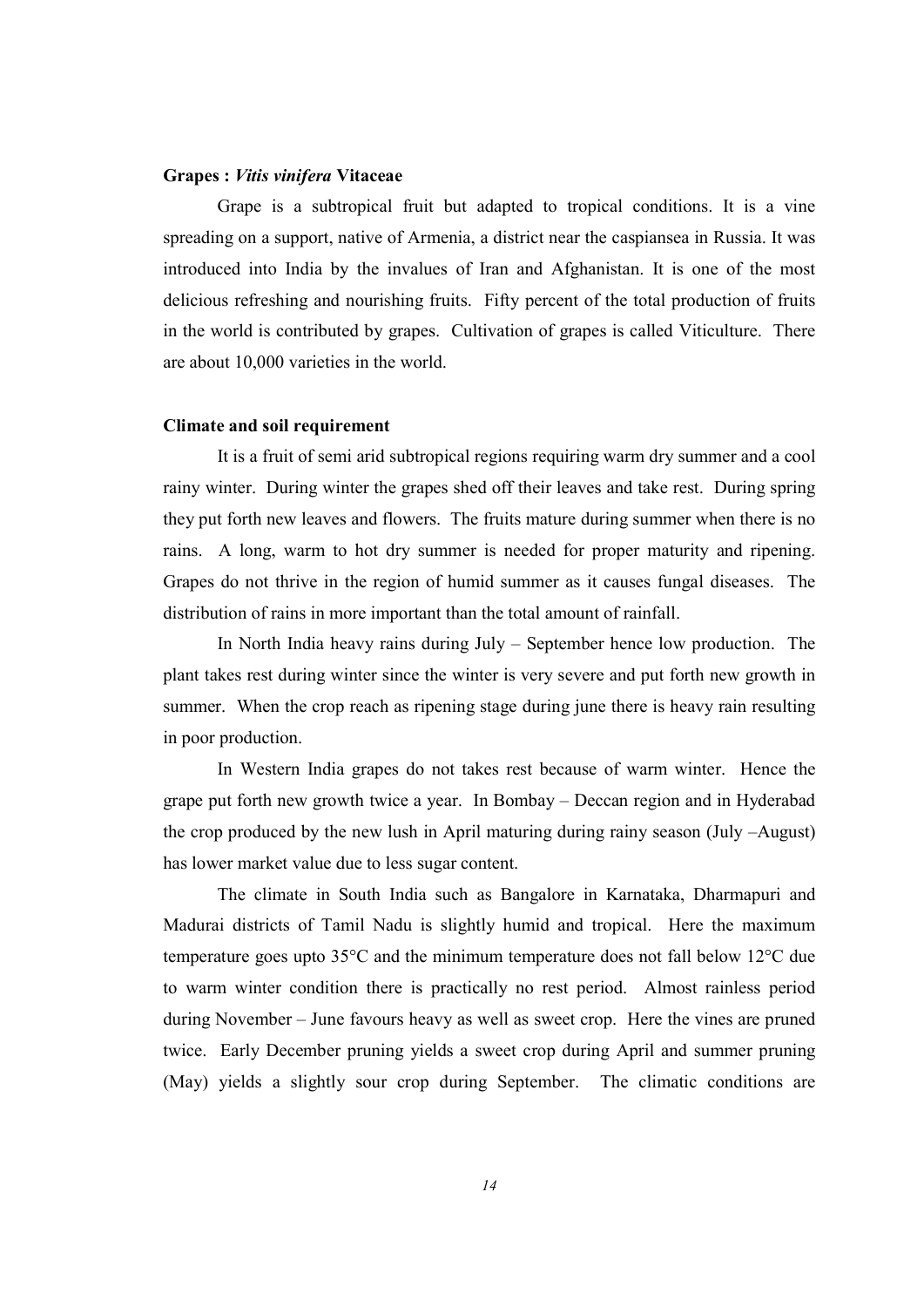#### Grapes : Vitis vinifera Vitaceae

 Grape is a subtropical fruit but adapted to tropical conditions. It is a vine spreading on a support, native of Armenia, a district near the caspiansea in Russia. It was introduced into India by the invalues of Iran and Afghanistan. It is one of the most delicious refreshing and nourishing fruits. Fifty percent of the total production of fruits in the world is contributed by grapes. Cultivation of grapes is called Viticulture. There are about 10,000 varieties in the world.

#### Climate and soil requirement

 It is a fruit of semi arid subtropical regions requiring warm dry summer and a cool rainy winter. During winter the grapes shed off their leaves and take rest. During spring they put forth new leaves and flowers. The fruits mature during summer when there is no rains. A long, warm to hot dry summer is needed for proper maturity and ripening. Grapes do not thrive in the region of humid summer as it causes fungal diseases. The distribution of rains in more important than the total amount of rainfall.

 In North India heavy rains during July – September hence low production. The plant takes rest during winter since the winter is very severe and put forth new growth in summer. When the crop reach as ripening stage during june there is heavy rain resulting in poor production.

 In Western India grapes do not takes rest because of warm winter. Hence the grape put forth new growth twice a year. In Bombay – Deccan region and in Hyderabad the crop produced by the new lush in April maturing during rainy season (July –August) has lower market value due to less sugar content.

 The climate in South India such as Bangalore in Karnataka, Dharmapuri and Madurai districts of Tamil Nadu is slightly humid and tropical. Here the maximum temperature goes upto 35°C and the minimum temperature does not fall below 12°C due to warm winter condition there is practically no rest period. Almost rainless period during November – June favours heavy as well as sweet crop. Here the vines are pruned twice. Early December pruning yields a sweet crop during April and summer pruning (May) yields a slightly sour crop during September. The climatic conditions are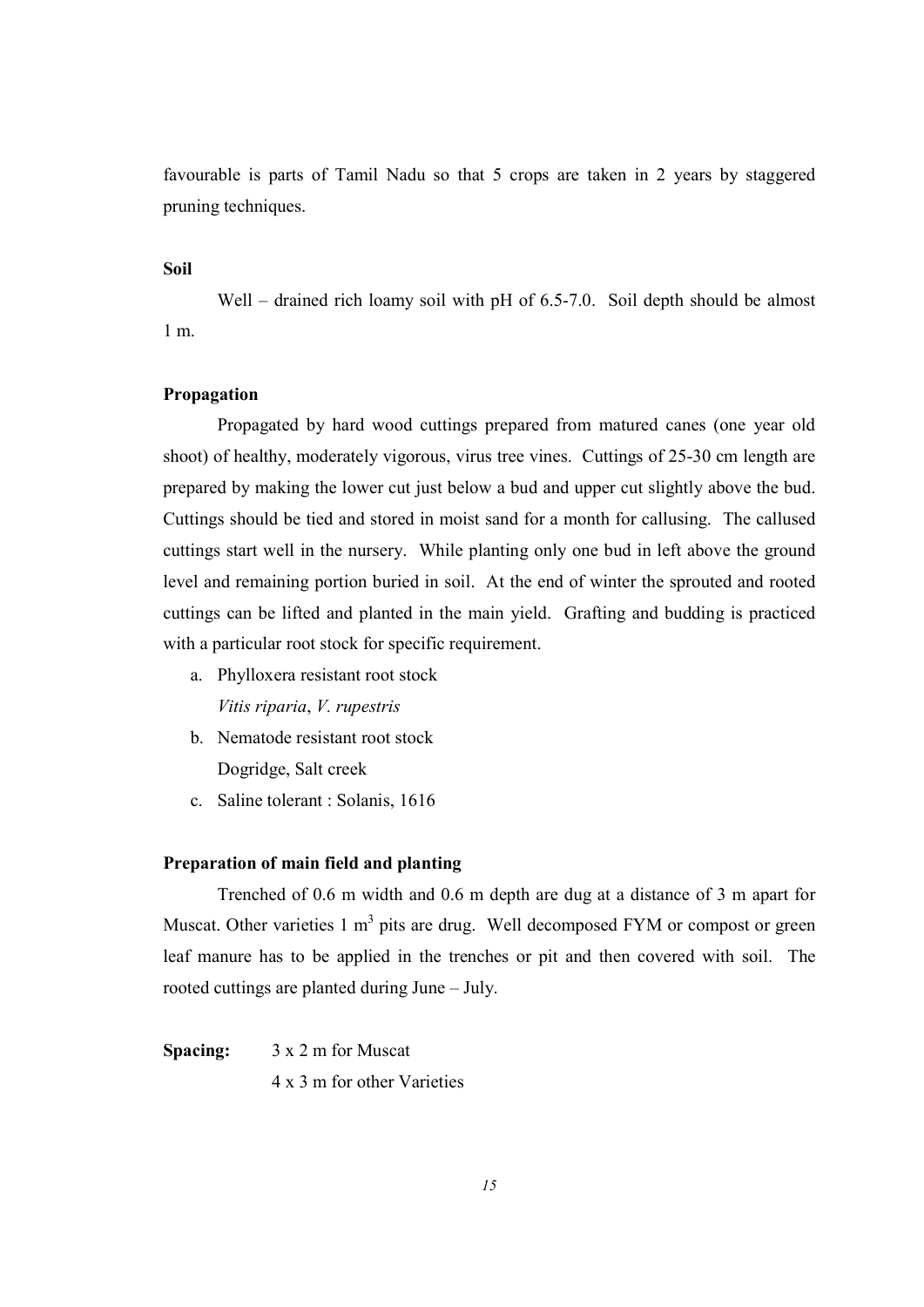favourable is parts of Tamil Nadu so that 5 crops are taken in 2 years by staggered pruning techniques.

## Soil

Well – drained rich loamy soil with pH of 6.5-7.0. Soil depth should be almost 1 m.

#### Propagation

 Propagated by hard wood cuttings prepared from matured canes (one year old shoot) of healthy, moderately vigorous, virus tree vines. Cuttings of 25-30 cm length are prepared by making the lower cut just below a bud and upper cut slightly above the bud. Cuttings should be tied and stored in moist sand for a month for callusing. The callused cuttings start well in the nursery. While planting only one bud in left above the ground level and remaining portion buried in soil. At the end of winter the sprouted and rooted cuttings can be lifted and planted in the main yield. Grafting and budding is practiced with a particular root stock for specific requirement.

- a. Phylloxera resistant root stock Vitis riparia, V. rupestris
- b. Nematode resistant root stock Dogridge, Salt creek
- c. Saline tolerant : Solanis, 1616

#### Preparation of main field and planting

 Trenched of 0.6 m width and 0.6 m depth are dug at a distance of 3 m apart for Muscat. Other varieties 1 m<sup>3</sup> pits are drug. Well decomposed FYM or compost or green leaf manure has to be applied in the trenches or pit and then covered with soil. The rooted cuttings are planted during June – July.

Spacing:  $3 \times 2$  m for Muscat 4 x 3 m for other Varieties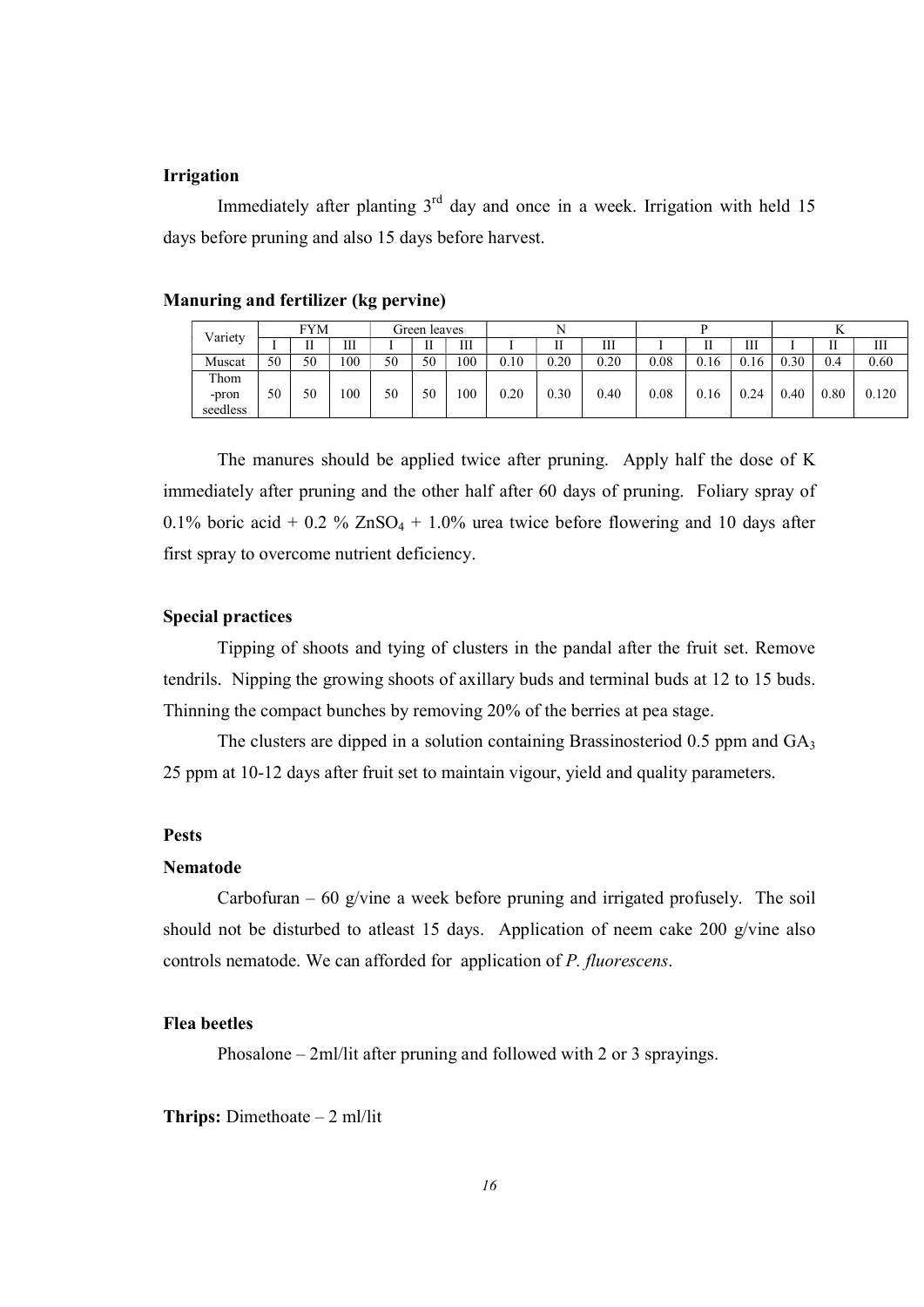#### Irrigation

Immediately after planting  $3<sup>rd</sup>$  day and once in a week. Irrigation with held 15 days before pruning and also 15 days before harvest.

| Variety  |    | FYM |     |    | Green leaves |     |      |        |      |      |      |      |      |      |       |
|----------|----|-----|-----|----|--------------|-----|------|--------|------|------|------|------|------|------|-------|
|          |    | П   | Ш   |    | TТ           | Ш   |      | ш<br>п | Ш    |      |      | Ш    |      |      | Ш     |
| Muscat   | 50 | 50  | 100 | 50 | 50           | 100 | 0.10 | 0.20   | 0.20 | 0.08 | 0.16 | 0.16 | 0.30 | 0.4  | 0.60  |
| Thom     |    |     |     |    |              |     |      |        |      |      |      |      |      |      |       |
| -pron    | 50 | 50  | 100 | 50 | 50           | 100 | 0.20 | 0.30   | 0.40 | 0.08 | 0.16 | 0.24 | 0.40 | 0.80 | 0.120 |
| seedless |    |     |     |    |              |     |      |        |      |      |      |      |      |      |       |

## Manuring and fertilizer (kg pervine)

 The manures should be applied twice after pruning. Apply half the dose of K immediately after pruning and the other half after 60 days of pruning. Foliary spray of 0.1% boric acid + 0.2 %  $ZnSO_4$  + 1.0% urea twice before flowering and 10 days after first spray to overcome nutrient deficiency.

## Special practices

 Tipping of shoots and tying of clusters in the pandal after the fruit set. Remove tendrils. Nipping the growing shoots of axillary buds and terminal buds at 12 to 15 buds. Thinning the compact bunches by removing 20% of the berries at pea stage.

The clusters are dipped in a solution containing Brassinosteriod  $0.5$  ppm and  $GA<sub>3</sub>$ 25 ppm at 10-12 days after fruit set to maintain vigour, yield and quality parameters.

#### Pests

#### Nematode

Carbofuran – 60 g/vine a week before pruning and irrigated profusely. The soil should not be disturbed to atleast 15 days. Application of neem cake 200 g/vine also controls nematode. We can afforded for application of P. fluorescens.

#### Flea beetles

Phosalone – 2ml/lit after pruning and followed with 2 or 3 sprayings.

**Thrips:** Dimethoate  $-2$  ml/lit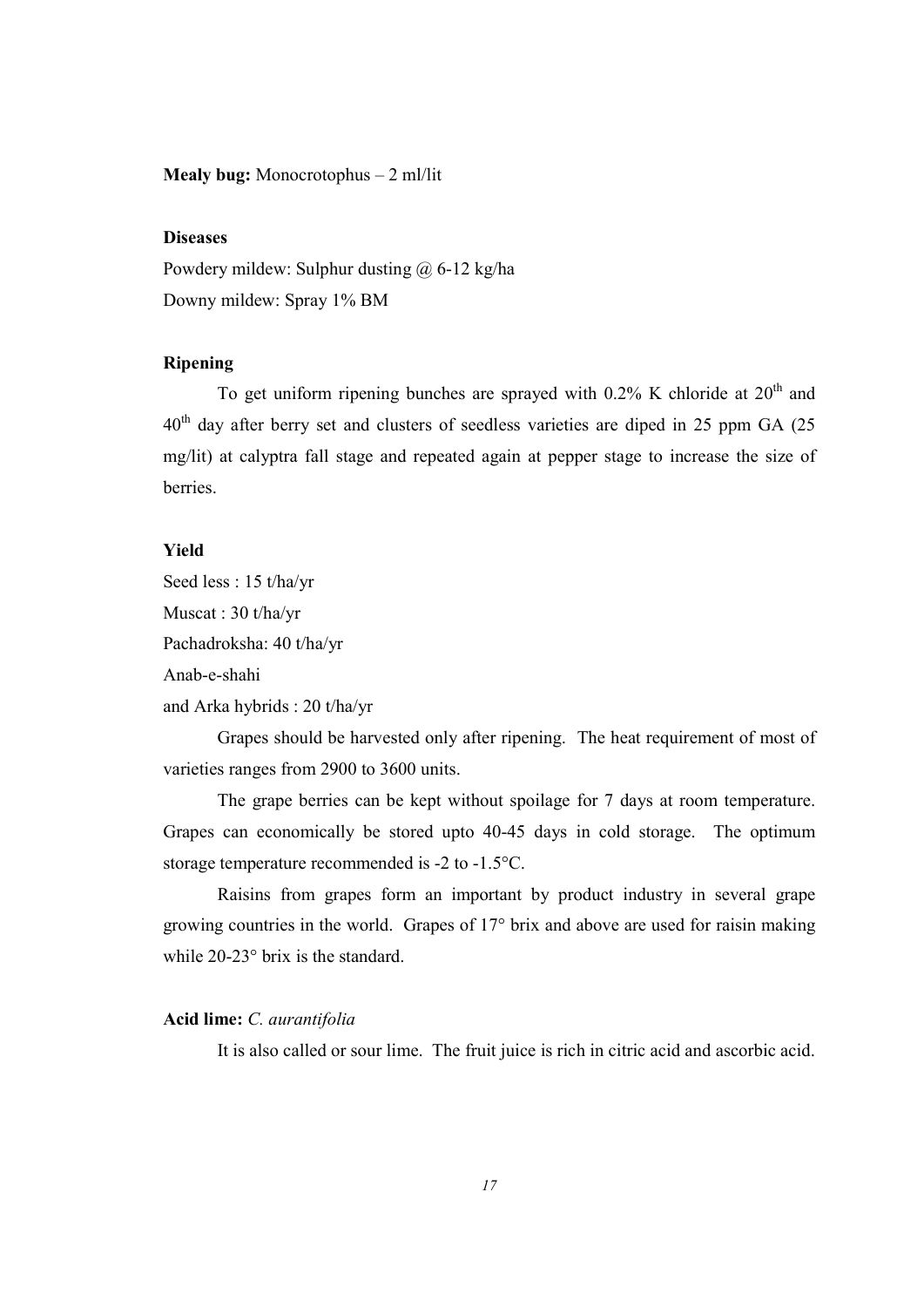Mealy bug: Monocrotophus – 2 ml/lit

#### **Diseases**

Powdery mildew: Sulphur dusting @ 6-12 kg/ha Downy mildew: Spray 1% BM

## Ripening

To get uniform ripening bunches are sprayed with  $0.2\%$  K chloride at  $20<sup>th</sup>$  and 40<sup>th</sup> day after berry set and clusters of seedless varieties are diped in 25 ppm GA (25 mg/lit) at calyptra fall stage and repeated again at pepper stage to increase the size of berries.

## Yield

Seed less : 15 t/ha/yr Muscat : 30 t/ha/yr Pachadroksha: 40 t/ha/yr Anab-e-shahi

and Arka hybrids : 20 t/ha/yr

 Grapes should be harvested only after ripening. The heat requirement of most of varieties ranges from 2900 to 3600 units.

 The grape berries can be kept without spoilage for 7 days at room temperature. Grapes can economically be stored upto 40-45 days in cold storage. The optimum storage temperature recommended is -2 to -1.5°C.

 Raisins from grapes form an important by product industry in several grape growing countries in the world. Grapes of 17° brix and above are used for raisin making while 20-23° brix is the standard.

## Acid lime: C. aurantifolia

It is also called or sour lime. The fruit juice is rich in citric acid and ascorbic acid.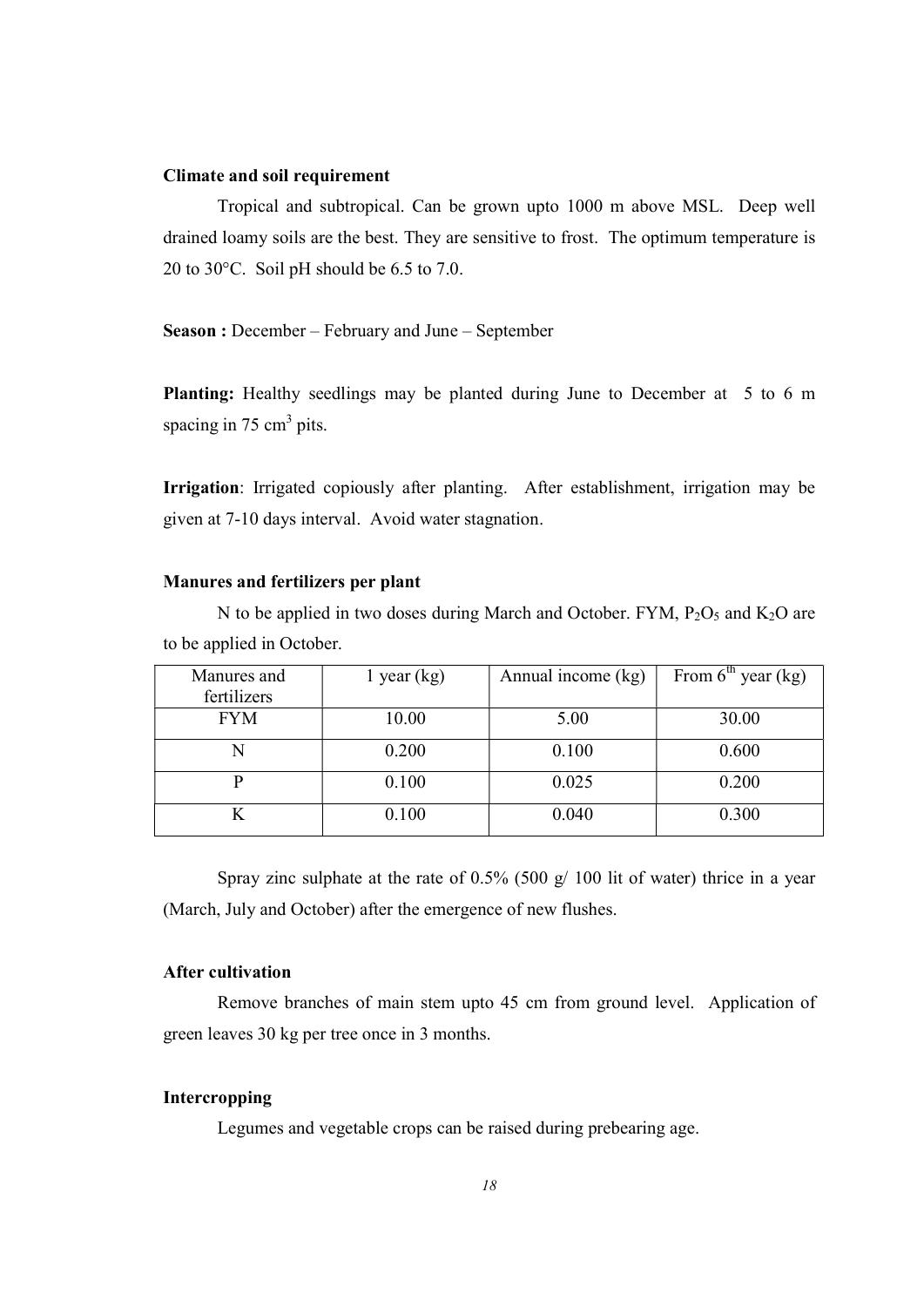#### Climate and soil requirement

 Tropical and subtropical. Can be grown upto 1000 m above MSL. Deep well drained loamy soils are the best. They are sensitive to frost. The optimum temperature is 20 to 30°C. Soil pH should be 6.5 to 7.0.

Season : December – February and June – September

Planting: Healthy seedlings may be planted during June to December at 5 to 6 m spacing in 75 cm<sup>3</sup> pits.

Irrigation: Irrigated copiously after planting. After establishment, irrigation may be given at 7-10 days interval. Avoid water stagnation.

## Manures and fertilizers per plant

N to be applied in two doses during March and October. FYM,  $P_2O_5$  and  $K_2O$  are to be applied in October.

| Manures and<br>fertilizers | $1$ year (kg) | Annual income (kg) | From $6th$ year (kg) |
|----------------------------|---------------|--------------------|----------------------|
| <b>FYM</b>                 | 10.00         | 5.00               | 30.00                |
|                            | 0.200         | 0.100              | 0.600                |
|                            | 0.100         | 0.025              | 0.200                |
|                            | 0.100         | 0.040              | 0.300                |

Spray zinc sulphate at the rate of  $0.5\%$  (500 g/ 100 lit of water) thrice in a year (March, July and October) after the emergence of new flushes.

#### After cultivation

 Remove branches of main stem upto 45 cm from ground level. Application of green leaves 30 kg per tree once in 3 months.

## Intercropping

Legumes and vegetable crops can be raised during prebearing age.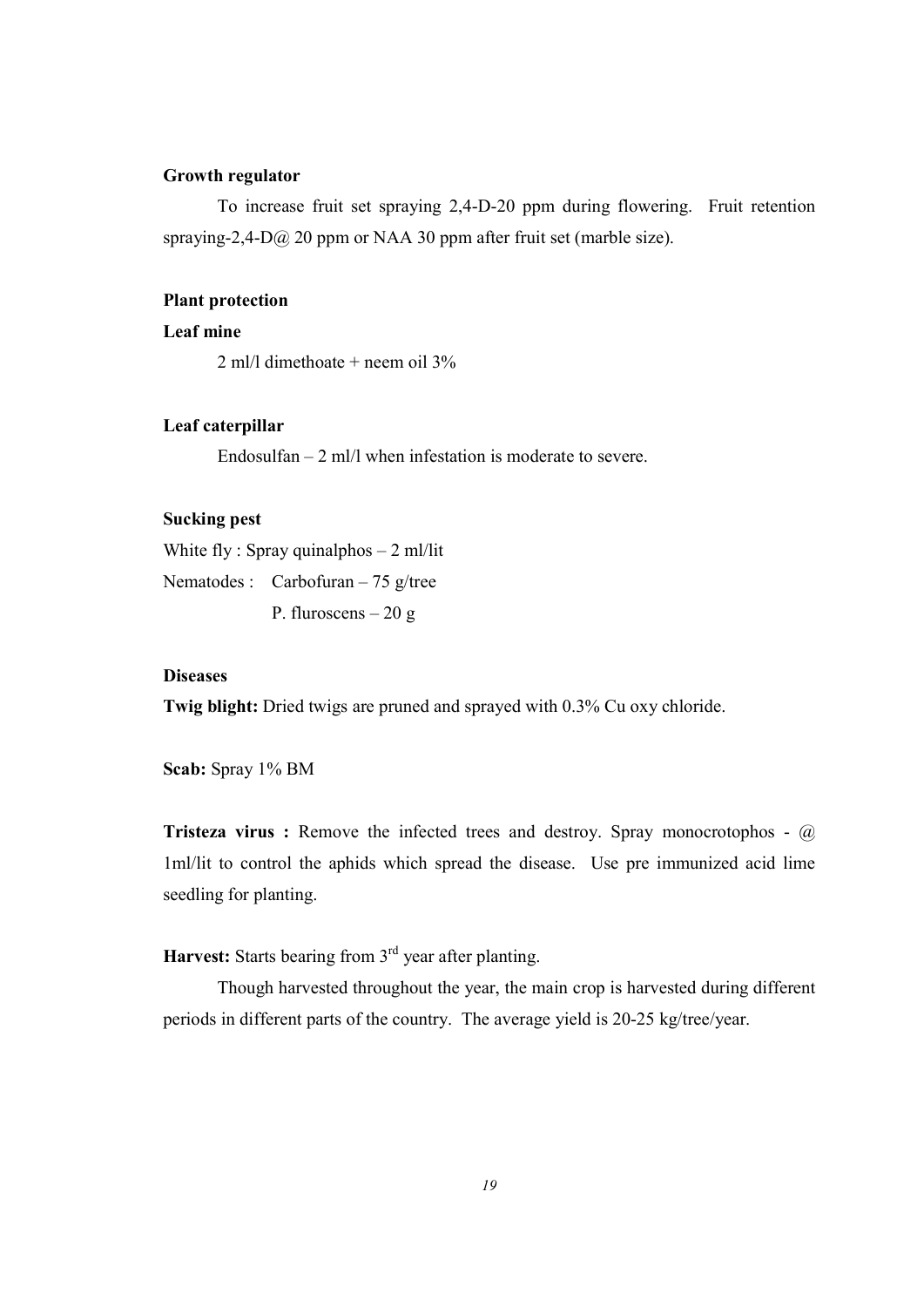## Growth regulator

 To increase fruit set spraying 2,4-D-20 ppm during flowering. Fruit retention spraying-2,4-D@ 20 ppm or NAA 30 ppm after fruit set (marble size).

## Plant protection

## Leaf mine

2 ml/l dimethoate + neem oil 3%

### Leaf caterpillar

Endosulfan – 2 ml/l when infestation is moderate to severe.

## Sucking pest

White fly : Spray quinalphos  $-2$  ml/lit

Nematodes : Carbofuran – 75 g/tree

P. fluroscens – 20 g

## **Diseases**

Twig blight: Dried twigs are pruned and sprayed with 0.3% Cu oxy chloride.

Scab: Spray 1% BM

Tristeza virus : Remove the infected trees and destroy. Spray monocrotophos - @ 1ml/lit to control the aphids which spread the disease. Use pre immunized acid lime seedling for planting.

Harvest: Starts bearing from  $3<sup>rd</sup>$  year after planting.

 Though harvested throughout the year, the main crop is harvested during different periods in different parts of the country. The average yield is 20-25 kg/tree/year.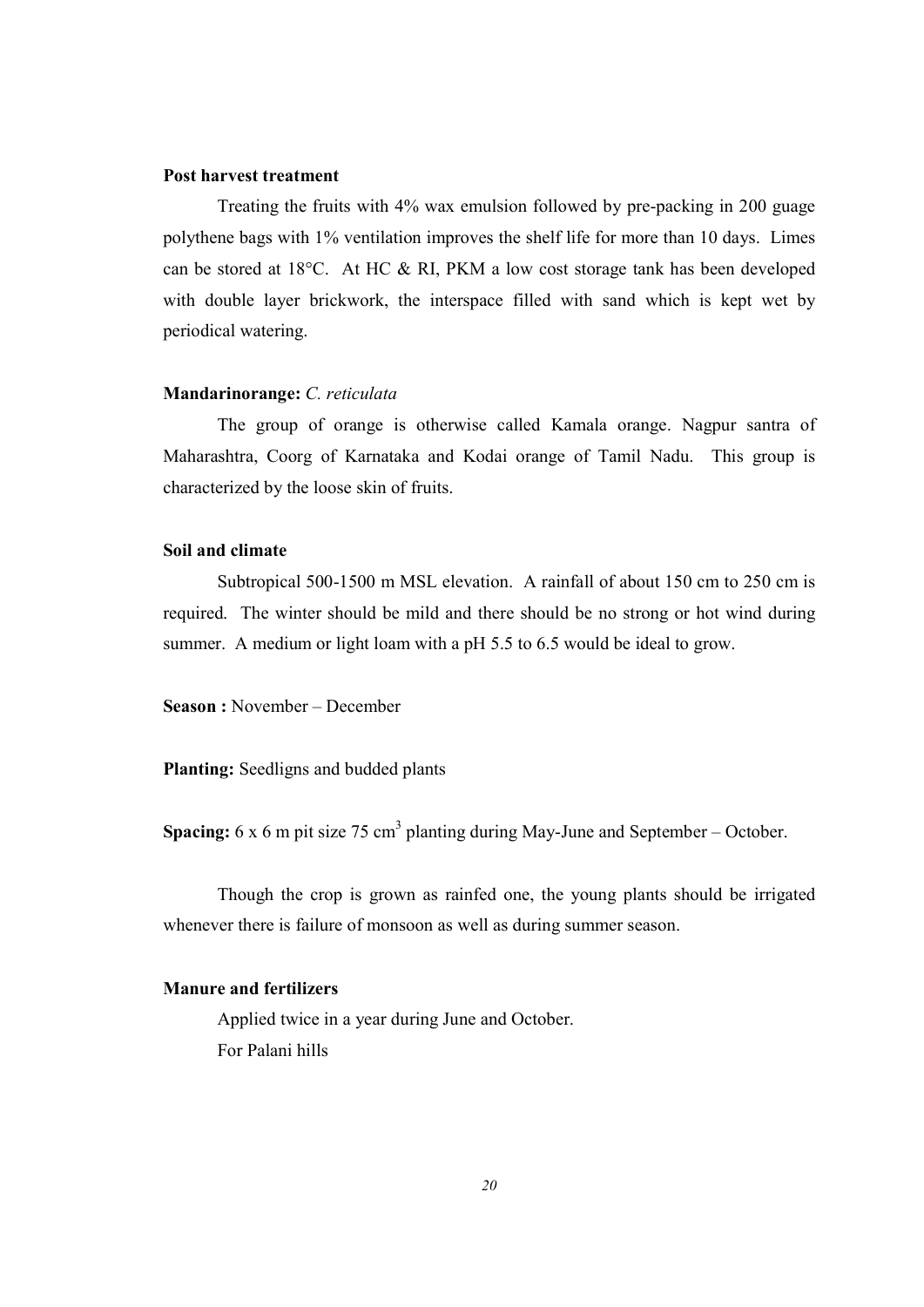#### Post harvest treatment

 Treating the fruits with 4% wax emulsion followed by pre-packing in 200 guage polythene bags with 1% ventilation improves the shelf life for more than 10 days. Limes can be stored at 18°C. At HC & RI, PKM a low cost storage tank has been developed with double layer brickwork, the interspace filled with sand which is kept wet by periodical watering.

#### Mandarinorange: C. reticulata

The group of orange is otherwise called Kamala orange. Nagpur santra of Maharashtra, Coorg of Karnataka and Kodai orange of Tamil Nadu. This group is characterized by the loose skin of fruits.

#### Soil and climate

 Subtropical 500-1500 m MSL elevation. A rainfall of about 150 cm to 250 cm is required. The winter should be mild and there should be no strong or hot wind during summer. A medium or light loam with a pH 5.5 to 6.5 would be ideal to grow.

Season : November – December

Planting: Seedligns and budded plants

**Spacing:** 6 x 6 m pit size 75 cm<sup>3</sup> planting during May-June and September – October.

 Though the crop is grown as rainfed one, the young plants should be irrigated whenever there is failure of monsoon as well as during summer season.

## Manure and fertilizers

 Applied twice in a year during June and October. For Palani hills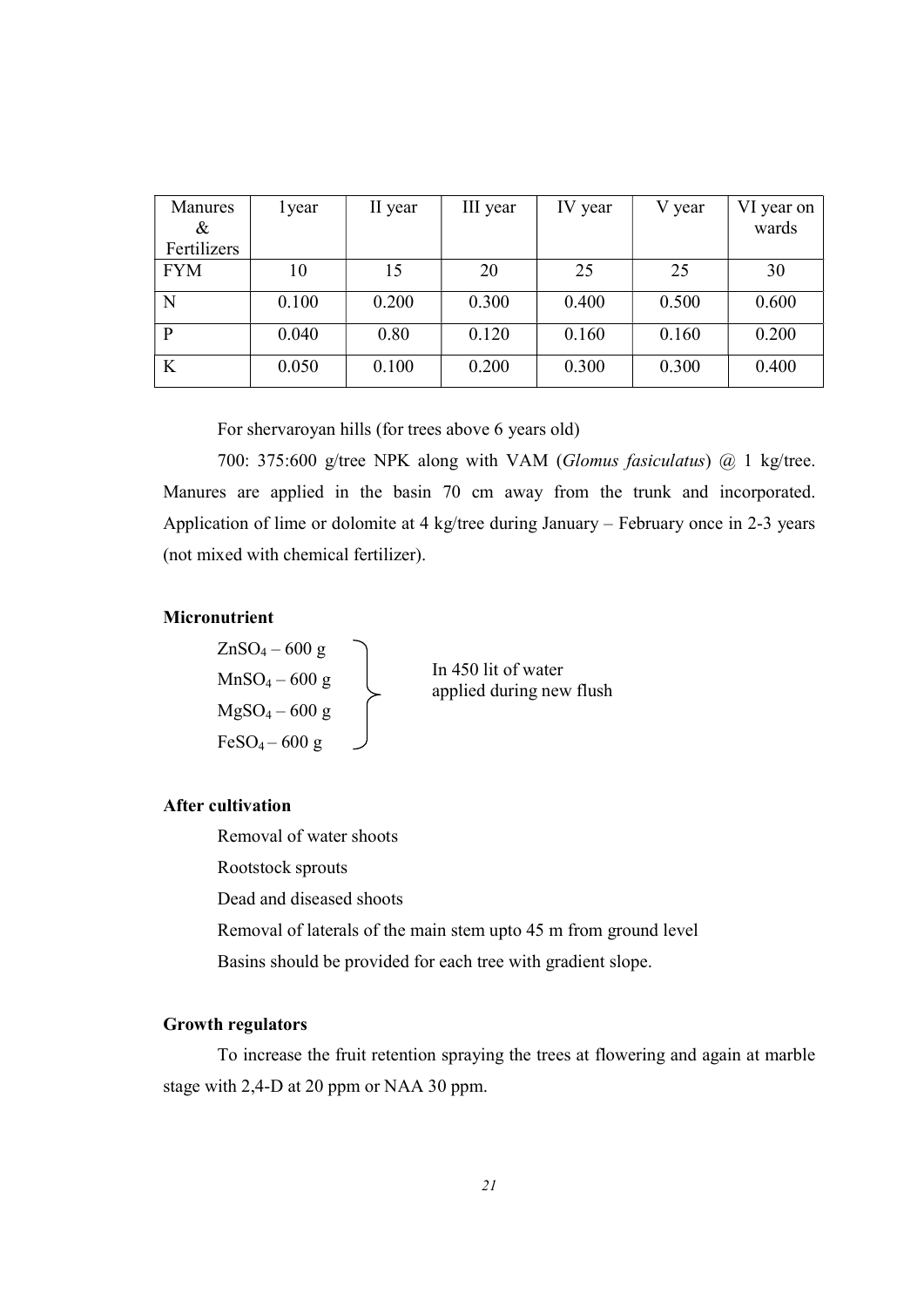| Manures<br>& | 1 year | II year | III year | IV year | V year | VI year on<br>wards |
|--------------|--------|---------|----------|---------|--------|---------------------|
| Fertilizers  |        |         |          |         |        |                     |
| <b>FYM</b>   | 10     | 15      | 20       | 25      | 25     | 30                  |
| N            | 0.100  | 0.200   | 0.300    | 0.400   | 0.500  | 0.600               |
| P            | 0.040  | 0.80    | 0.120    | 0.160   | 0.160  | 0.200               |
| K            | 0.050  | 0.100   | 0.200    | 0.300   | 0.300  | 0.400               |

For shervaroyan hills (for trees above 6 years old)

 700: 375:600 g/tree NPK along with VAM (Glomus fasiculatus) @ 1 kg/tree. Manures are applied in the basin 70 cm away from the trunk and incorporated. Application of lime or dolomite at 4 kg/tree during January – February once in 2-3 years (not mixed with chemical fertilizer).

#### Micronutrient

 $ZnSO<sub>4</sub> - 600 g$  $MnSO_4 - 600$  g  $MgSO_4 - 600$  g  $FeSO_4 - 600$  g

In 450 lit of water applied during new flush

## After cultivation

 Removal of water shoots Rootstock sprouts Dead and diseased shoots Removal of laterals of the main stem upto 45 m from ground level Basins should be provided for each tree with gradient slope.

#### Growth regulators

 To increase the fruit retention spraying the trees at flowering and again at marble stage with 2,4-D at 20 ppm or NAA 30 ppm.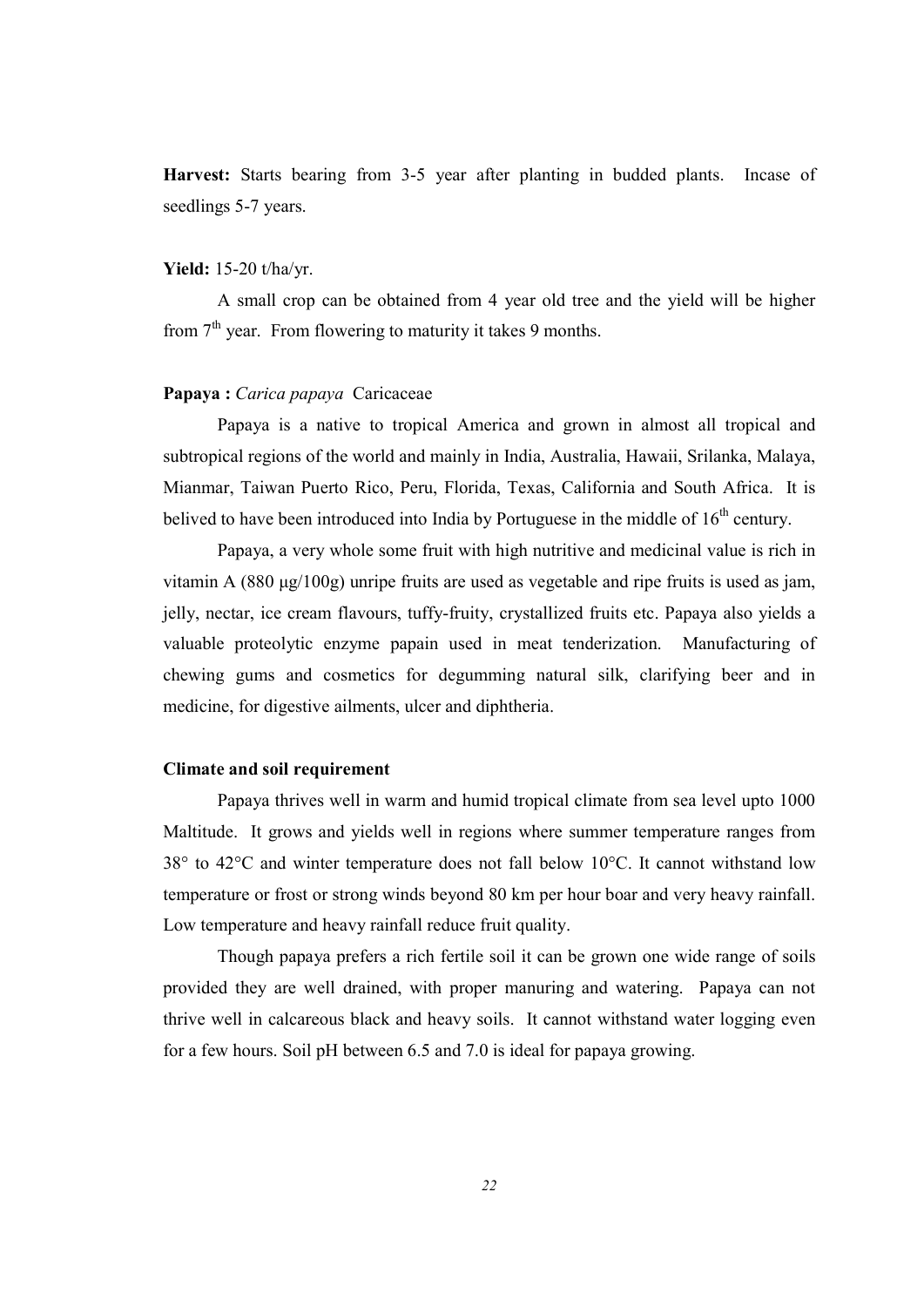Harvest: Starts bearing from 3-5 year after planting in budded plants. Incase of seedlings 5-7 years.

## Yield: 15-20 t/ha/yr.

 A small crop can be obtained from 4 year old tree and the yield will be higher from  $7<sup>th</sup>$  year. From flowering to maturity it takes 9 months.

## Papaya : Carica papaya Caricaceae

 Papaya is a native to tropical America and grown in almost all tropical and subtropical regions of the world and mainly in India, Australia, Hawaii, Srilanka, Malaya, Mianmar, Taiwan Puerto Rico, Peru, Florida, Texas, California and South Africa. It is belived to have been introduced into India by Portuguese in the middle of  $16<sup>th</sup>$  century.

 Papaya, a very whole some fruit with high nutritive and medicinal value is rich in vitamin A (880 μg/100g) unripe fruits are used as vegetable and ripe fruits is used as jam, jelly, nectar, ice cream flavours, tuffy-fruity, crystallized fruits etc. Papaya also yields a valuable proteolytic enzyme papain used in meat tenderization. Manufacturing of chewing gums and cosmetics for degumming natural silk, clarifying beer and in medicine, for digestive ailments, ulcer and diphtheria.

#### Climate and soil requirement

 Papaya thrives well in warm and humid tropical climate from sea level upto 1000 Maltitude. It grows and yields well in regions where summer temperature ranges from 38° to 42°C and winter temperature does not fall below 10°C. It cannot withstand low temperature or frost or strong winds beyond 80 km per hour boar and very heavy rainfall. Low temperature and heavy rainfall reduce fruit quality.

 Though papaya prefers a rich fertile soil it can be grown one wide range of soils provided they are well drained, with proper manuring and watering. Papaya can not thrive well in calcareous black and heavy soils. It cannot withstand water logging even for a few hours. Soil pH between 6.5 and 7.0 is ideal for papaya growing.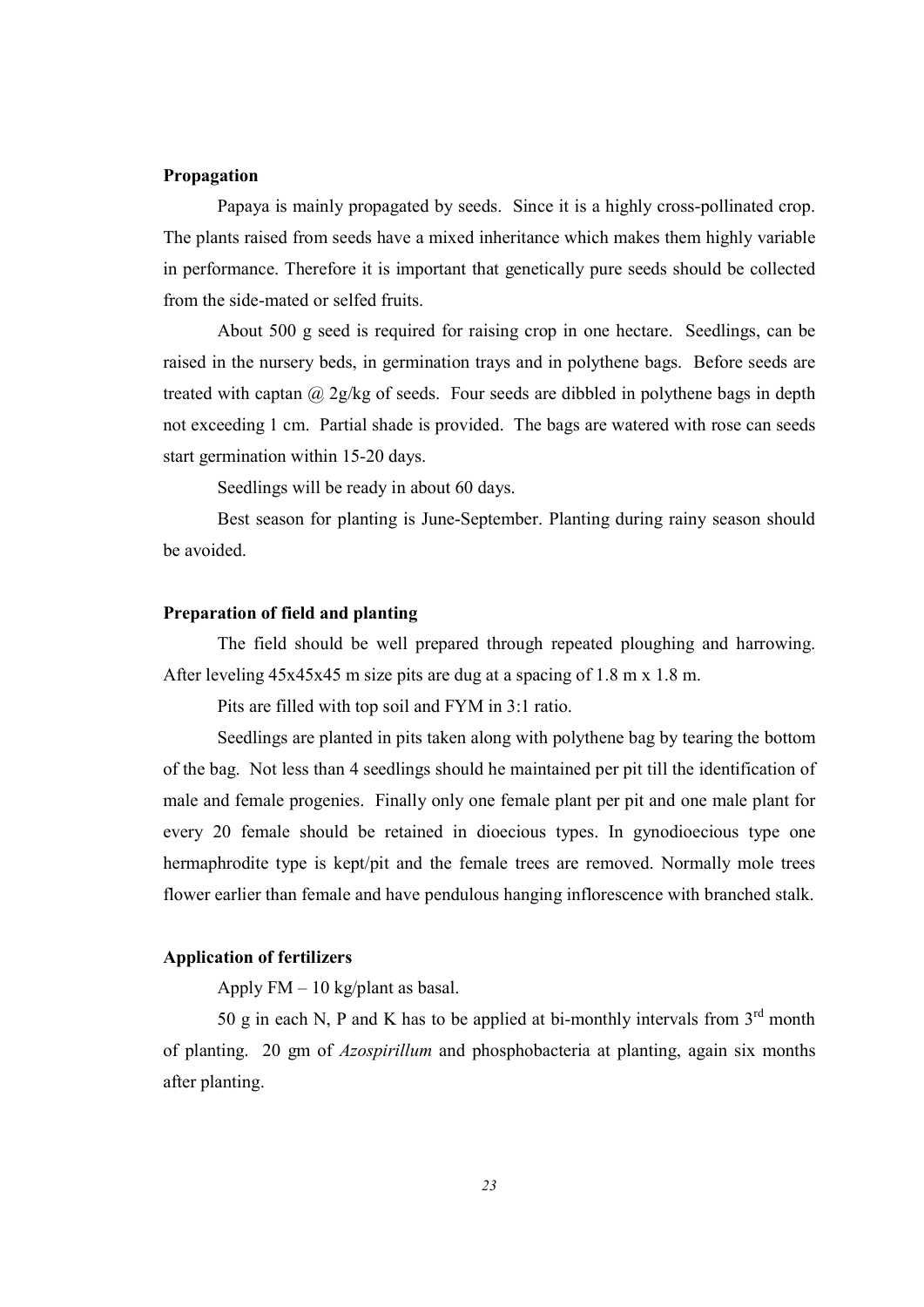#### Propagation

Papaya is mainly propagated by seeds. Since it is a highly cross-pollinated crop. The plants raised from seeds have a mixed inheritance which makes them highly variable in performance. Therefore it is important that genetically pure seeds should be collected from the side-mated or selfed fruits.

 About 500 g seed is required for raising crop in one hectare. Seedlings, can be raised in the nursery beds, in germination trays and in polythene bags. Before seeds are treated with captan  $@$  2g/kg of seeds. Four seeds are dibbled in polythene bags in depth not exceeding 1 cm. Partial shade is provided. The bags are watered with rose can seeds start germination within 15-20 days.

Seedlings will be ready in about 60 days.

 Best season for planting is June-September. Planting during rainy season should be avoided.

## Preparation of field and planting

 The field should be well prepared through repeated ploughing and harrowing. After leveling 45x45x45 m size pits are dug at a spacing of 1.8 m x 1.8 m.

Pits are filled with top soil and FYM in 3:1 ratio.

 Seedlings are planted in pits taken along with polythene bag by tearing the bottom of the bag. Not less than 4 seedlings should he maintained per pit till the identification of male and female progenies. Finally only one female plant per pit and one male plant for every 20 female should be retained in dioecious types. In gynodioecious type one hermaphrodite type is kept/pit and the female trees are removed. Normally mole trees flower earlier than female and have pendulous hanging inflorescence with branched stalk.

#### Application of fertilizers

Apply  $FM - 10$  kg/plant as basal.

50 g in each N, P and K has to be applied at bi-monthly intervals from  $3<sup>rd</sup>$  month of planting. 20 gm of Azospirillum and phosphobacteria at planting, again six months after planting.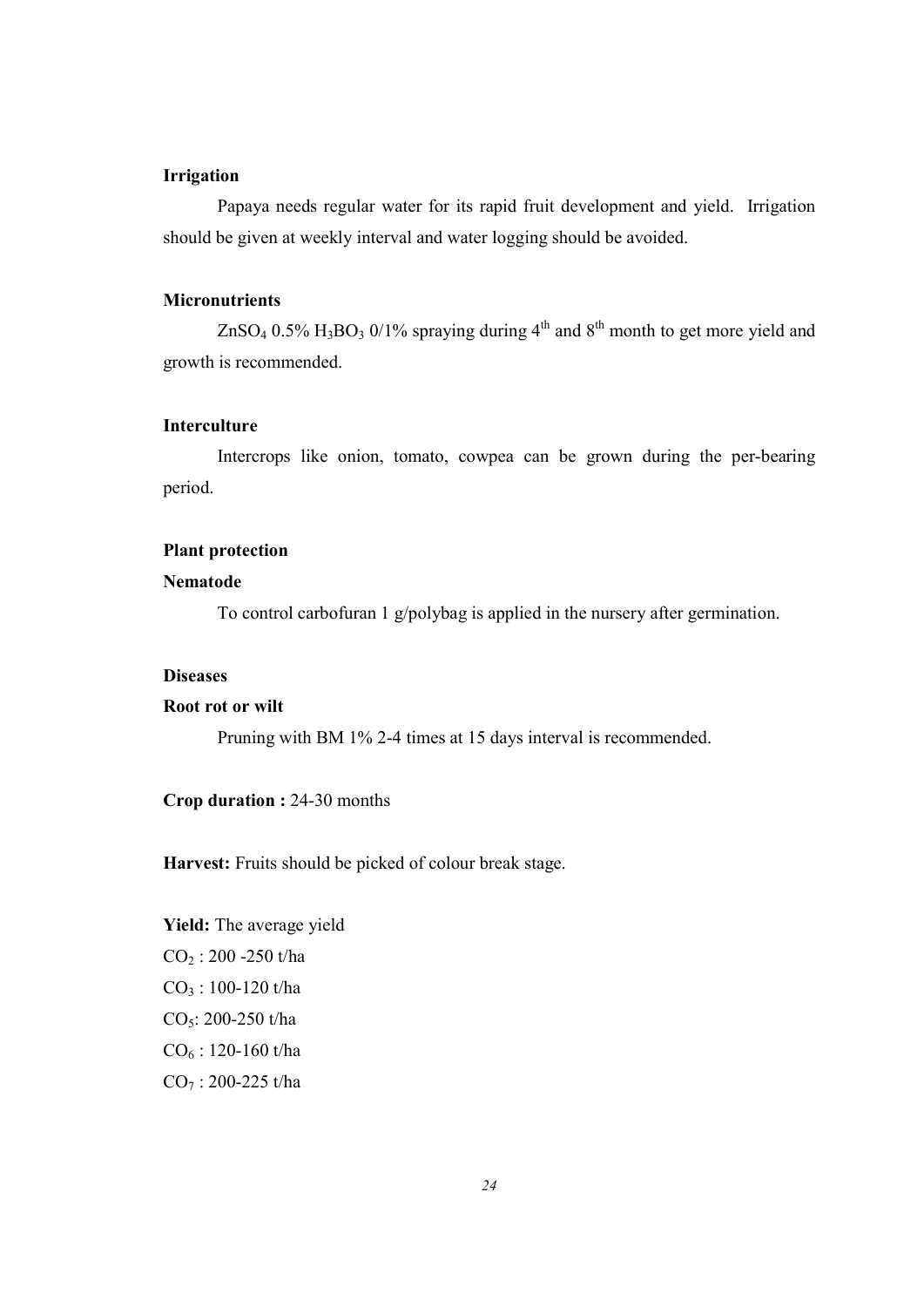## Irrigation

 Papaya needs regular water for its rapid fruit development and yield. Irrigation should be given at weekly interval and water logging should be avoided.

## **Micronutrients**

 $ZnSO_4$  0.5%  $H_3BO_3$  0/1% spraying during 4<sup>th</sup> and 8<sup>th</sup> month to get more yield and growth is recommended.

## Interculture

 Intercrops like onion, tomato, cowpea can be grown during the per-bearing period.

#### Plant protection

#### Nematode

To control carbofuran 1 g/polybag is applied in the nursery after germination.

## **Diseases**

## Root rot or wilt

Pruning with BM 1% 2-4 times at 15 days interval is recommended.

## Crop duration : 24-30 months

Harvest: Fruits should be picked of colour break stage.

Yield: The average yield  $\rm CO_2$ : 200 -250 t/ha  $CO<sub>3</sub> : 100-120$  t/ha CO<sub>5</sub>: 200-250 t/ha  $CO<sub>6</sub>$ : 120-160 t/ha  $CO_7$ : 200-225 t/ha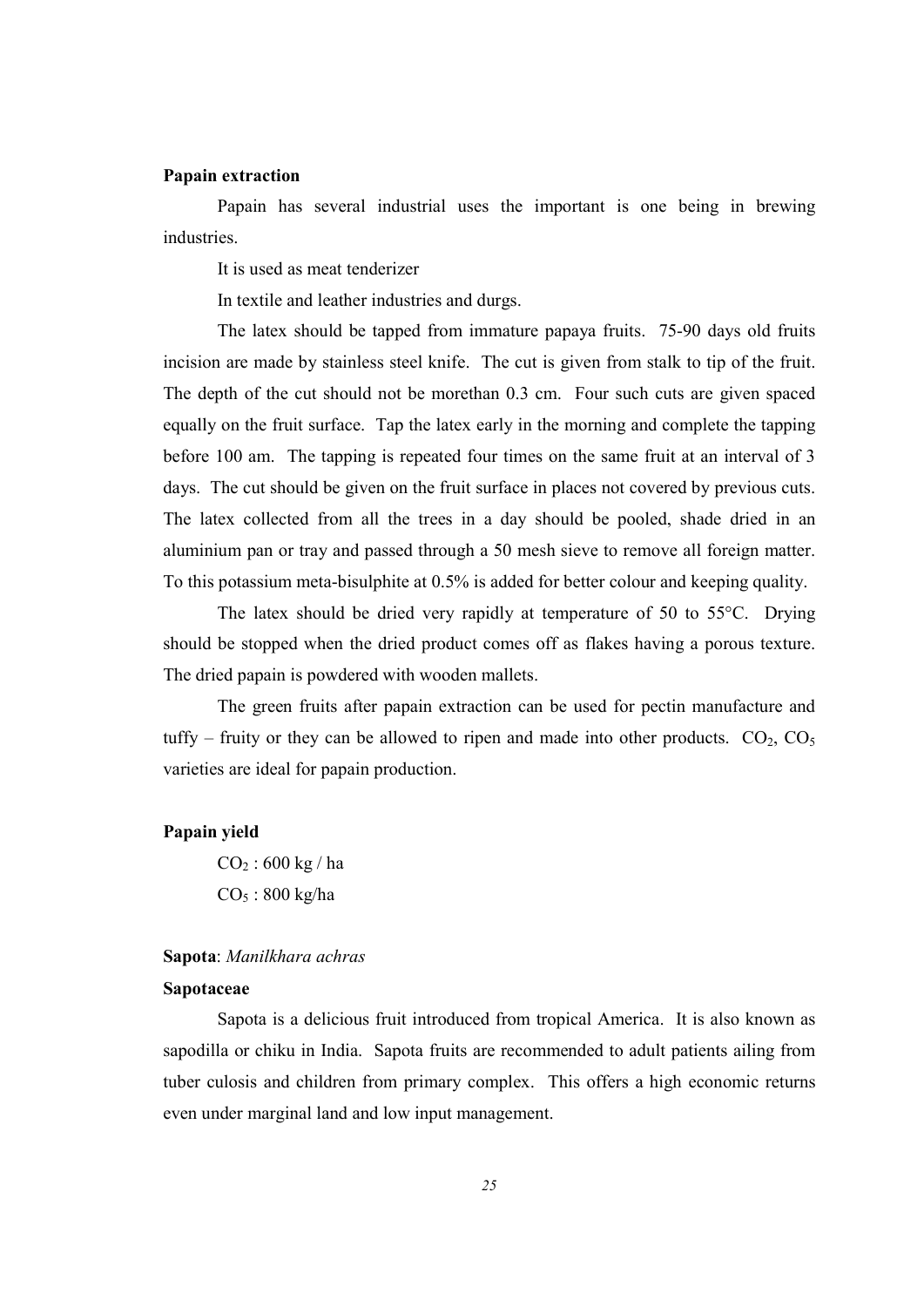#### Papain extraction

 Papain has several industrial uses the important is one being in brewing industries.

It is used as meat tenderizer

In textile and leather industries and durgs.

 The latex should be tapped from immature papaya fruits. 75-90 days old fruits incision are made by stainless steel knife. The cut is given from stalk to tip of the fruit. The depth of the cut should not be morethan 0.3 cm. Four such cuts are given spaced equally on the fruit surface. Tap the latex early in the morning and complete the tapping before 100 am. The tapping is repeated four times on the same fruit at an interval of 3 days. The cut should be given on the fruit surface in places not covered by previous cuts. The latex collected from all the trees in a day should be pooled, shade dried in an aluminium pan or tray and passed through a 50 mesh sieve to remove all foreign matter. To this potassium meta-bisulphite at 0.5% is added for better colour and keeping quality.

 The latex should be dried very rapidly at temperature of 50 to 55°C. Drying should be stopped when the dried product comes off as flakes having a porous texture. The dried papain is powdered with wooden mallets.

 The green fruits after papain extraction can be used for pectin manufacture and tuffy – fruity or they can be allowed to ripen and made into other products.  $CO_2$ ,  $CO_5$ varieties are ideal for papain production.

#### Papain yield

 $CO_2$ : 600 kg / ha  $CO<sub>5</sub>$ : 800 kg/ha

#### Sapota: Manilkhara achras

#### Sapotaceae

 Sapota is a delicious fruit introduced from tropical America. It is also known as sapodilla or chiku in India. Sapota fruits are recommended to adult patients ailing from tuber culosis and children from primary complex. This offers a high economic returns even under marginal land and low input management.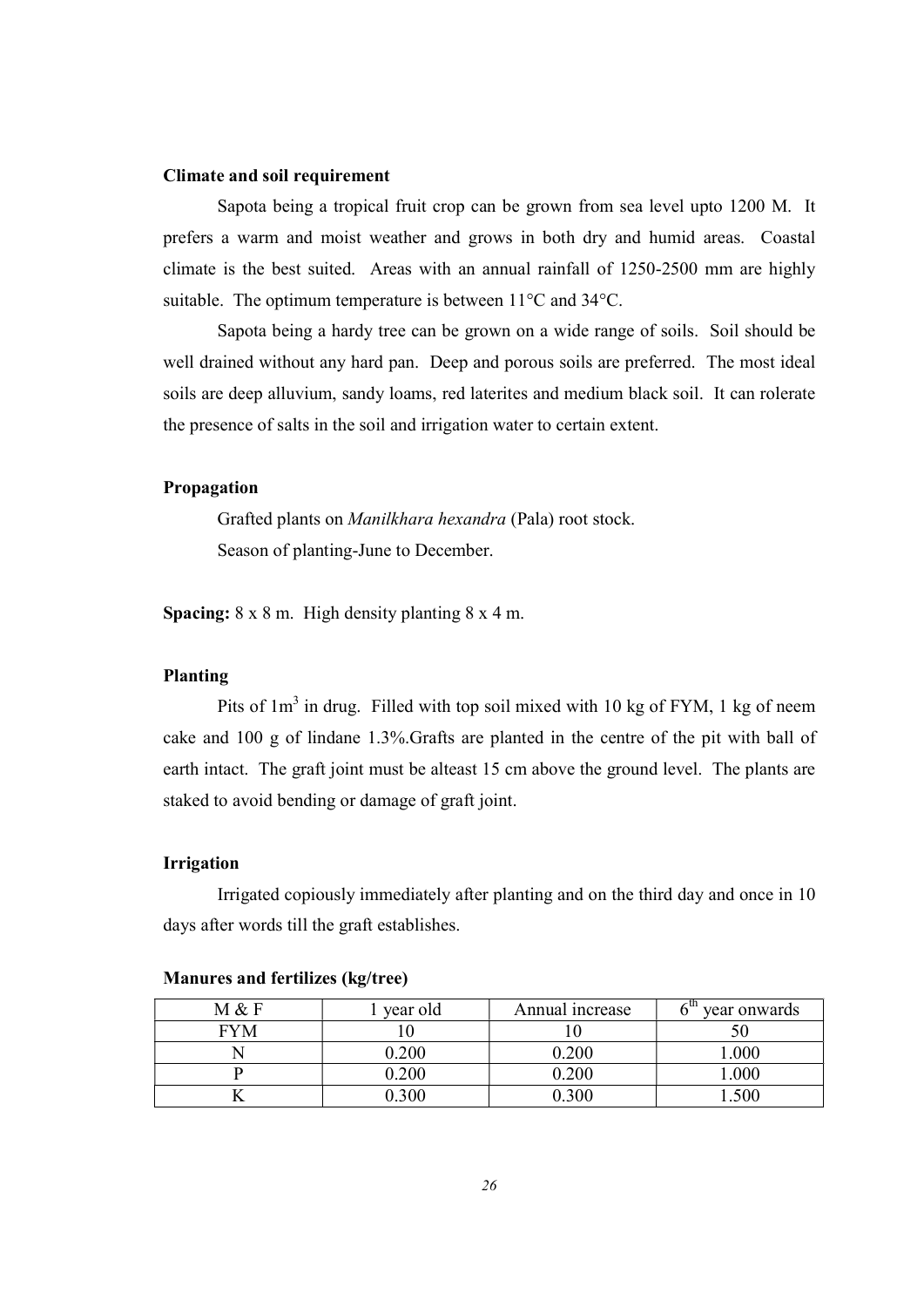#### Climate and soil requirement

 Sapota being a tropical fruit crop can be grown from sea level upto 1200 M. It prefers a warm and moist weather and grows in both dry and humid areas. Coastal climate is the best suited. Areas with an annual rainfall of 1250-2500 mm are highly suitable. The optimum temperature is between 11°C and 34°C.

 Sapota being a hardy tree can be grown on a wide range of soils. Soil should be well drained without any hard pan. Deep and porous soils are preferred. The most ideal soils are deep alluvium, sandy loams, red laterites and medium black soil. It can rolerate the presence of salts in the soil and irrigation water to certain extent.

#### Propagation

 Grafted plants on Manilkhara hexandra (Pala) root stock. Season of planting-June to December.

**Spacing:**  $8 \times 8$  m. High density planting  $8 \times 4$  m.

### Planting

Pits of  $1m<sup>3</sup>$  in drug. Filled with top soil mixed with 10 kg of FYM, 1 kg of neem cake and 100 g of lindane 1.3%.Grafts are planted in the centre of the pit with ball of earth intact. The graft joint must be alteast 15 cm above the ground level. The plants are staked to avoid bending or damage of graft joint.

#### Irrigation

 Irrigated copiously immediately after planting and on the third day and once in 10 days after words till the graft establishes.

| M & F      | year old | Annual increase | year onwards |
|------------|----------|-----------------|--------------|
| <b>FYM</b> |          |                 |              |
|            | 0.200    | $\setminus 200$ | .000         |
|            | 0.200    | .200            | .000         |
|            | .300     | - 300           | 500          |

#### Manures and fertilizes (kg/tree)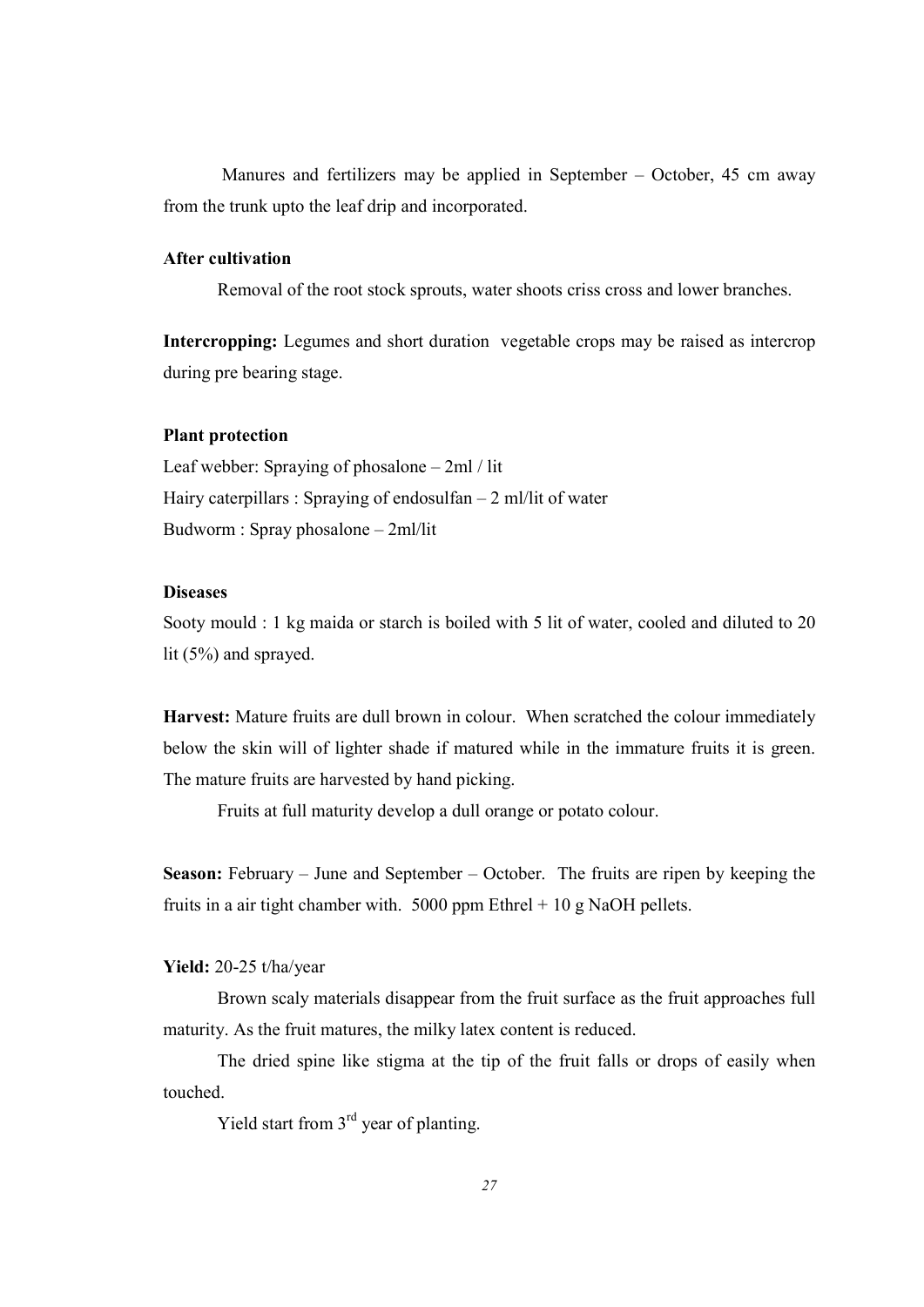Manures and fertilizers may be applied in September – October, 45 cm away from the trunk upto the leaf drip and incorporated.

#### After cultivation

Removal of the root stock sprouts, water shoots criss cross and lower branches.

Intercropping: Legumes and short duration vegetable crops may be raised as intercrop during pre bearing stage.

#### Plant protection

Leaf webber: Spraying of phosalone – 2ml / lit Hairy caterpillars : Spraying of endosulfan – 2 ml/lit of water Budworm : Spray phosalone – 2ml/lit

#### **Diseases**

Sooty mould : 1 kg maida or starch is boiled with 5 lit of water, cooled and diluted to 20 lit (5%) and sprayed.

Harvest: Mature fruits are dull brown in colour. When scratched the colour immediately below the skin will of lighter shade if matured while in the immature fruits it is green. The mature fruits are harvested by hand picking.

Fruits at full maturity develop a dull orange or potato colour.

Season: February – June and September – October. The fruits are ripen by keeping the fruits in a air tight chamber with. 5000 ppm Ethrel  $+10$  g NaOH pellets.

Yield: 20-25 t/ha/year

 Brown scaly materials disappear from the fruit surface as the fruit approaches full maturity. As the fruit matures, the milky latex content is reduced.

 The dried spine like stigma at the tip of the fruit falls or drops of easily when touched.

Yield start from  $3<sup>rd</sup>$  year of planting.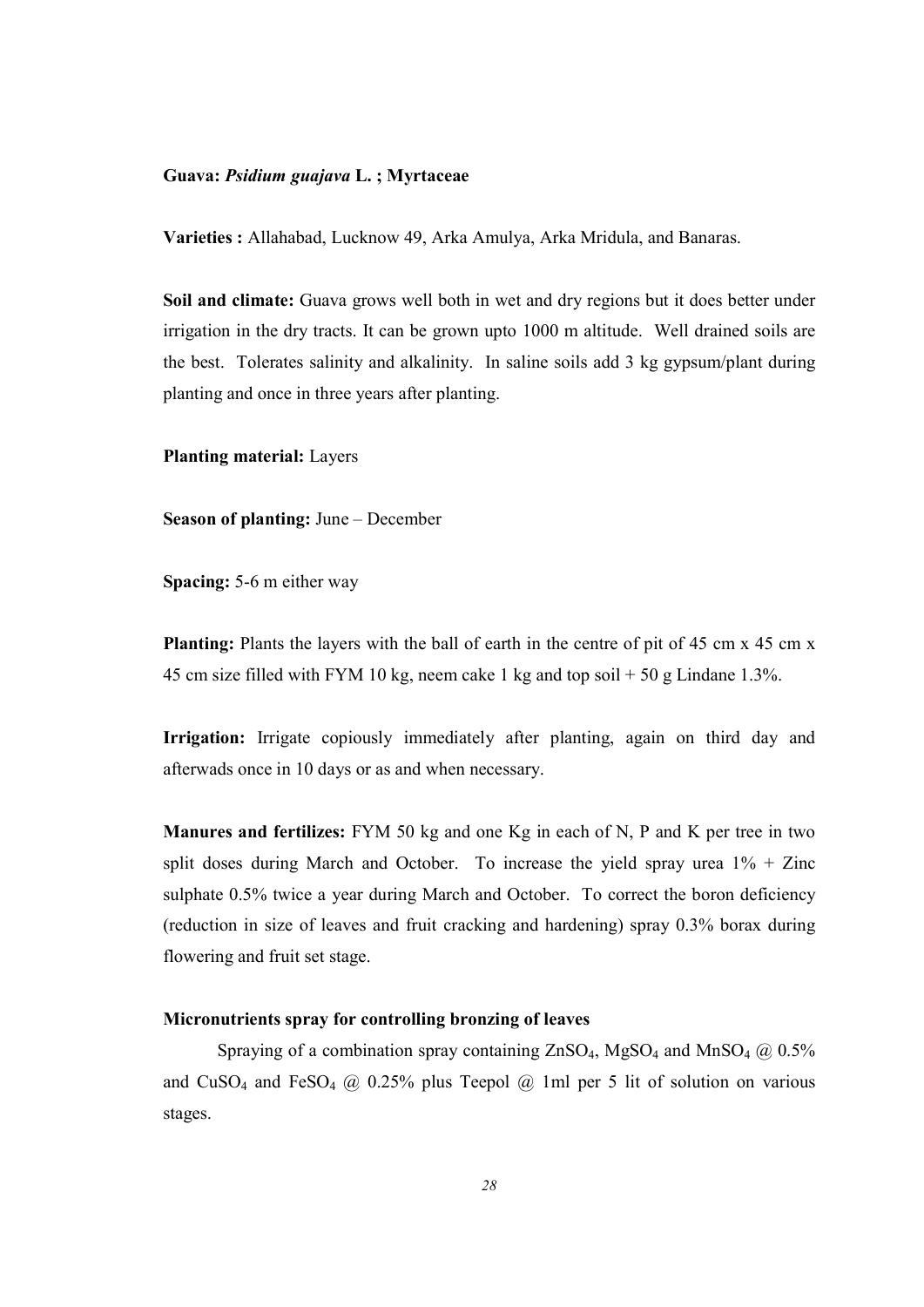#### Guava: Psidium guajava L. ; Myrtaceae

Varieties : Allahabad, Lucknow 49, Arka Amulya, Arka Mridula, and Banaras.

Soil and climate: Guava grows well both in wet and dry regions but it does better under irrigation in the dry tracts. It can be grown upto 1000 m altitude. Well drained soils are the best. Tolerates salinity and alkalinity. In saline soils add 3 kg gypsum/plant during planting and once in three years after planting.

Planting material: Layers

Season of planting: June – December

Spacing: 5-6 m either way

Planting: Plants the layers with the ball of earth in the centre of pit of 45 cm x 45 cm x 45 cm size filled with FYM 10 kg, neem cake 1 kg and top soil  $+ 50$  g Lindane 1.3%.

Irrigation: Irrigate copiously immediately after planting, again on third day and afterwads once in 10 days or as and when necessary.

Manures and fertilizes: FYM 50 kg and one Kg in each of N, P and K per tree in two split doses during March and October. To increase the yield spray urea  $1\%$  + Zinc sulphate 0.5% twice a year during March and October. To correct the boron deficiency (reduction in size of leaves and fruit cracking and hardening) spray 0.3% borax during flowering and fruit set stage.

#### Micronutrients spray for controlling bronzing of leaves

Spraying of a combination spray containing  $ZnSO_4$ , MgSO<sub>4</sub> and MnSO<sub>4</sub> @ 0.5% and CuSO<sub>4</sub> and FeSO<sub>4</sub>  $\omega$  0.25% plus Teepol  $\omega$  1ml per 5 lit of solution on various stages.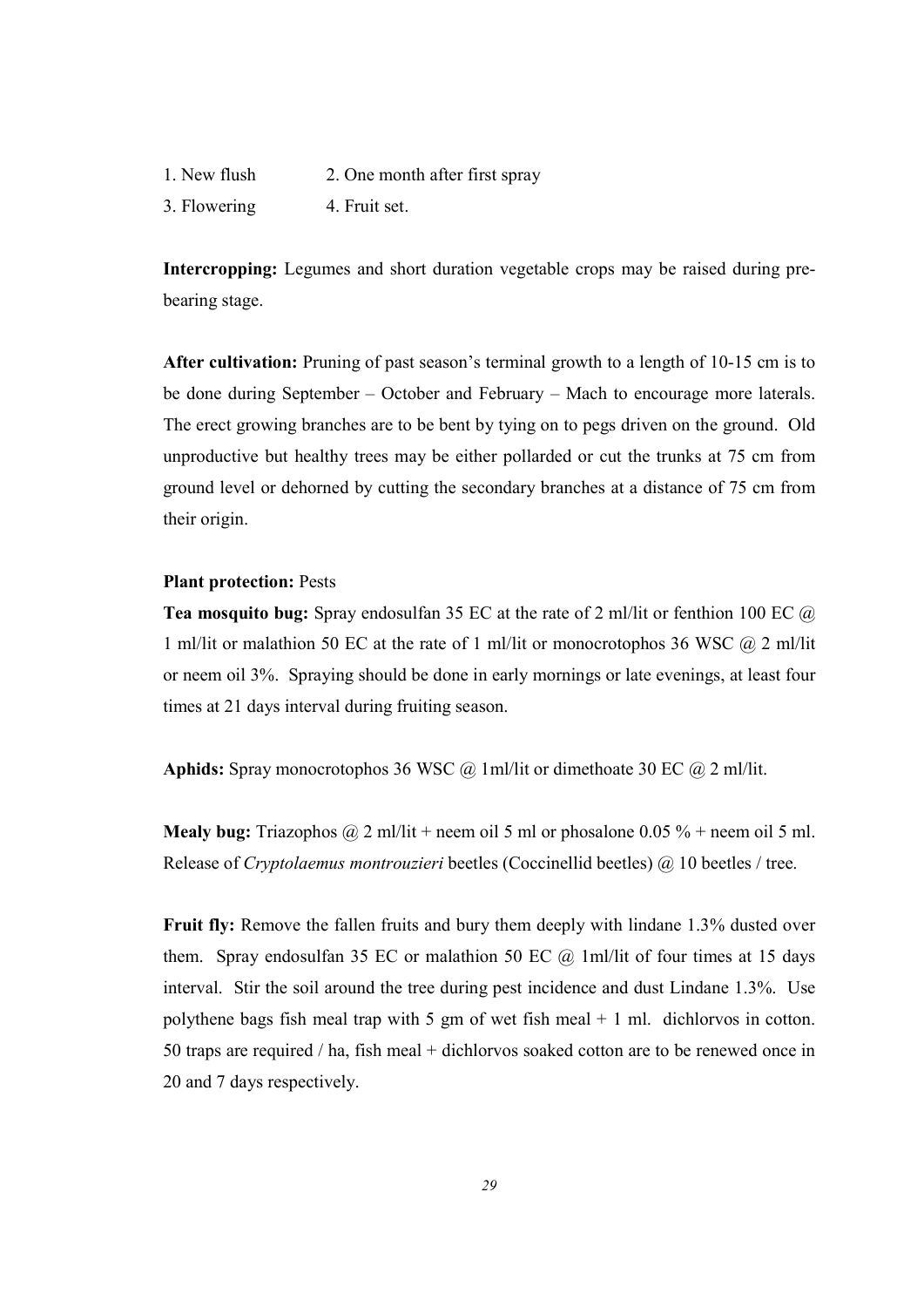1. New flush 2. One month after first spray

3. Flowering 4. Fruit set.

Intercropping: Legumes and short duration vegetable crops may be raised during prebearing stage.

After cultivation: Pruning of past season's terminal growth to a length of 10-15 cm is to be done during September – October and February – Mach to encourage more laterals. The erect growing branches are to be bent by tying on to pegs driven on the ground. Old unproductive but healthy trees may be either pollarded or cut the trunks at 75 cm from ground level or dehorned by cutting the secondary branches at a distance of 75 cm from their origin.

#### Plant protection: Pests

Tea mosquito bug: Spray endosulfan 35 EC at the rate of 2 ml/lit or fenthion 100 EC @ 1 ml/lit or malathion 50 EC at the rate of 1 ml/lit or monocrotophos 36 WSC  $\omega$  2 ml/lit or neem oil 3%. Spraying should be done in early mornings or late evenings, at least four times at 21 days interval during fruiting season.

Aphids: Spray monocrotophos 36 WSC  $\omega$  1ml/lit or dimethoate 30 EC  $\omega$  2 ml/lit.

**Mealy bug:** Triazophos  $\omega$  2 ml/lit + neem oil 5 ml or phosalone 0.05 % + neem oil 5 ml. Release of Cryptolaemus montrouzieri beetles (Coccinellid beetles) @ 10 beetles / tree.

Fruit fly: Remove the fallen fruits and bury them deeply with lindane 1.3% dusted over them. Spray endosulfan 35 EC or malathion 50 EC  $\omega$  1ml/lit of four times at 15 days interval. Stir the soil around the tree during pest incidence and dust Lindane 1.3%. Use polythene bags fish meal trap with 5 gm of wet fish meal  $+$  1 ml. dichlorvos in cotton. 50 traps are required / ha, fish meal + dichlorvos soaked cotton are to be renewed once in 20 and 7 days respectively.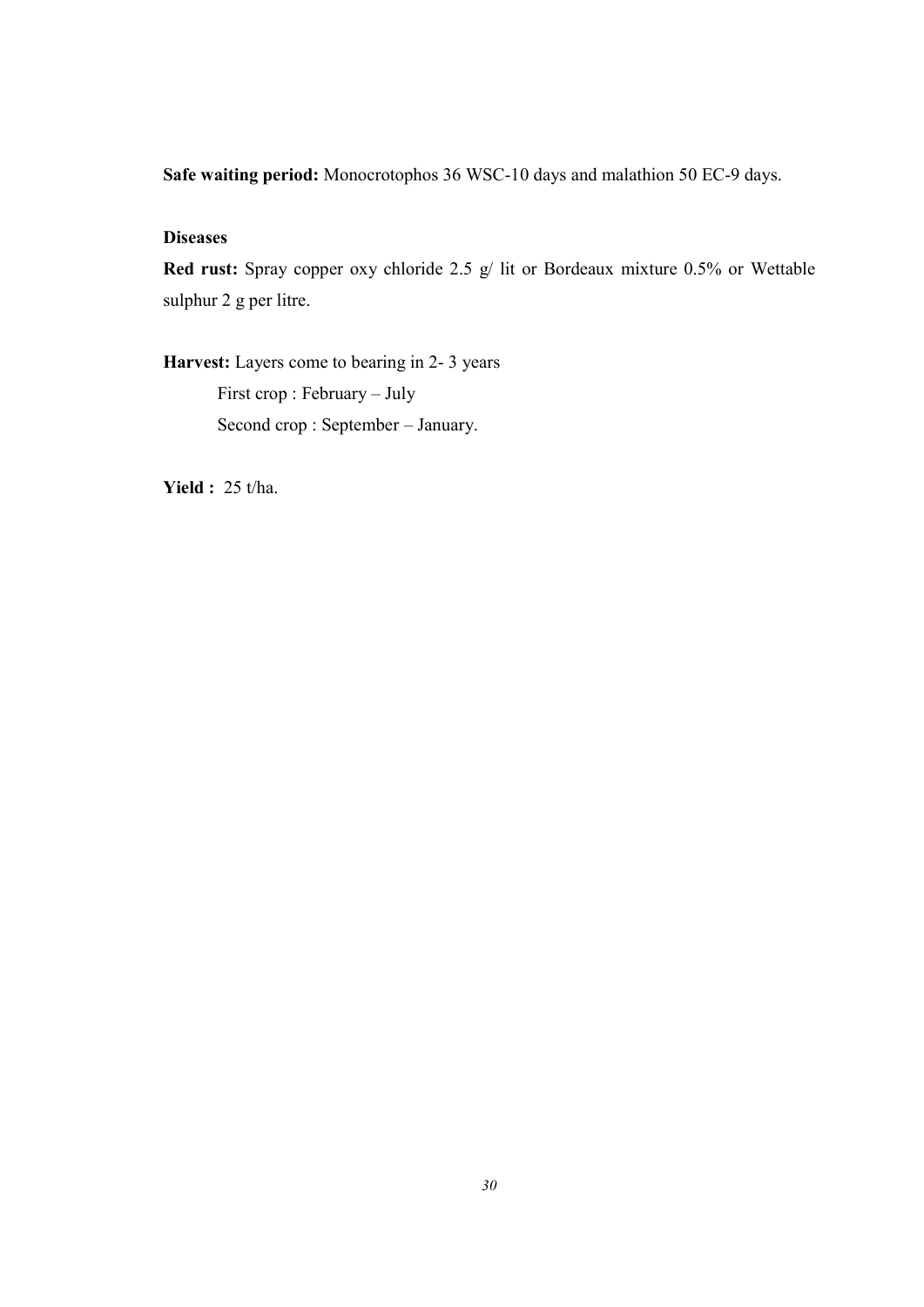Safe waiting period: Monocrotophos 36 WSC-10 days and malathion 50 EC-9 days.

## **Diseases**

Red rust: Spray copper oxy chloride 2.5 g/ lit or Bordeaux mixture 0.5% or Wettable sulphur 2 g per litre.

Harvest: Layers come to bearing in 2-3 years First crop : February – July Second crop : September – January.

**Yield : 25 t/ha.**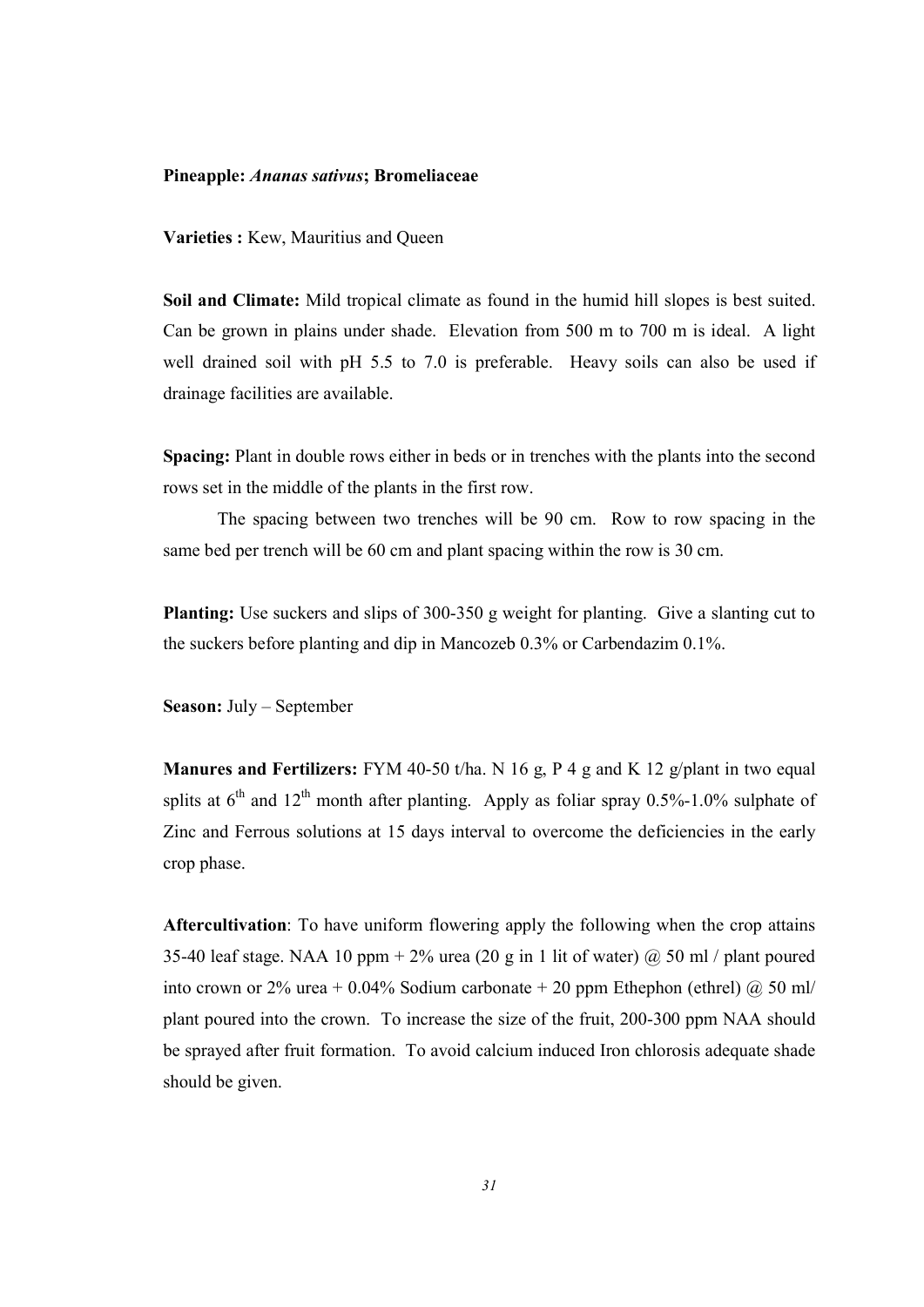#### Pineapple: Ananas sativus; Bromeliaceae

Varieties : Kew, Mauritius and Queen

Soil and Climate: Mild tropical climate as found in the humid hill slopes is best suited. Can be grown in plains under shade. Elevation from 500 m to 700 m is ideal. A light well drained soil with pH 5.5 to 7.0 is preferable. Heavy soils can also be used if drainage facilities are available.

Spacing: Plant in double rows either in beds or in trenches with the plants into the second rows set in the middle of the plants in the first row.

 The spacing between two trenches will be 90 cm. Row to row spacing in the same bed per trench will be 60 cm and plant spacing within the row is 30 cm.

Planting: Use suckers and slips of 300-350 g weight for planting. Give a slanting cut to the suckers before planting and dip in Mancozeb 0.3% or Carbendazim 0.1%.

Season: July – September

**Manures and Fertilizers:** FYM 40-50 t/ha. N 16 g, P 4 g and K 12 g/plant in two equal splits at  $6^{th}$  and  $12^{th}$  month after planting. Apply as foliar spray 0.5%-1.0% sulphate of Zinc and Ferrous solutions at 15 days interval to overcome the deficiencies in the early crop phase.

Aftercultivation: To have uniform flowering apply the following when the crop attains 35-40 leaf stage. NAA 10 ppm + 2% urea (20 g in 1 lit of water)  $\omega$  50 ml / plant poured into crown or 2% urea + 0.04% Sodium carbonate + 20 ppm Ethephon (ethrel)  $\omega$  50 ml/ plant poured into the crown. To increase the size of the fruit, 200-300 ppm NAA should be sprayed after fruit formation. To avoid calcium induced Iron chlorosis adequate shade should be given.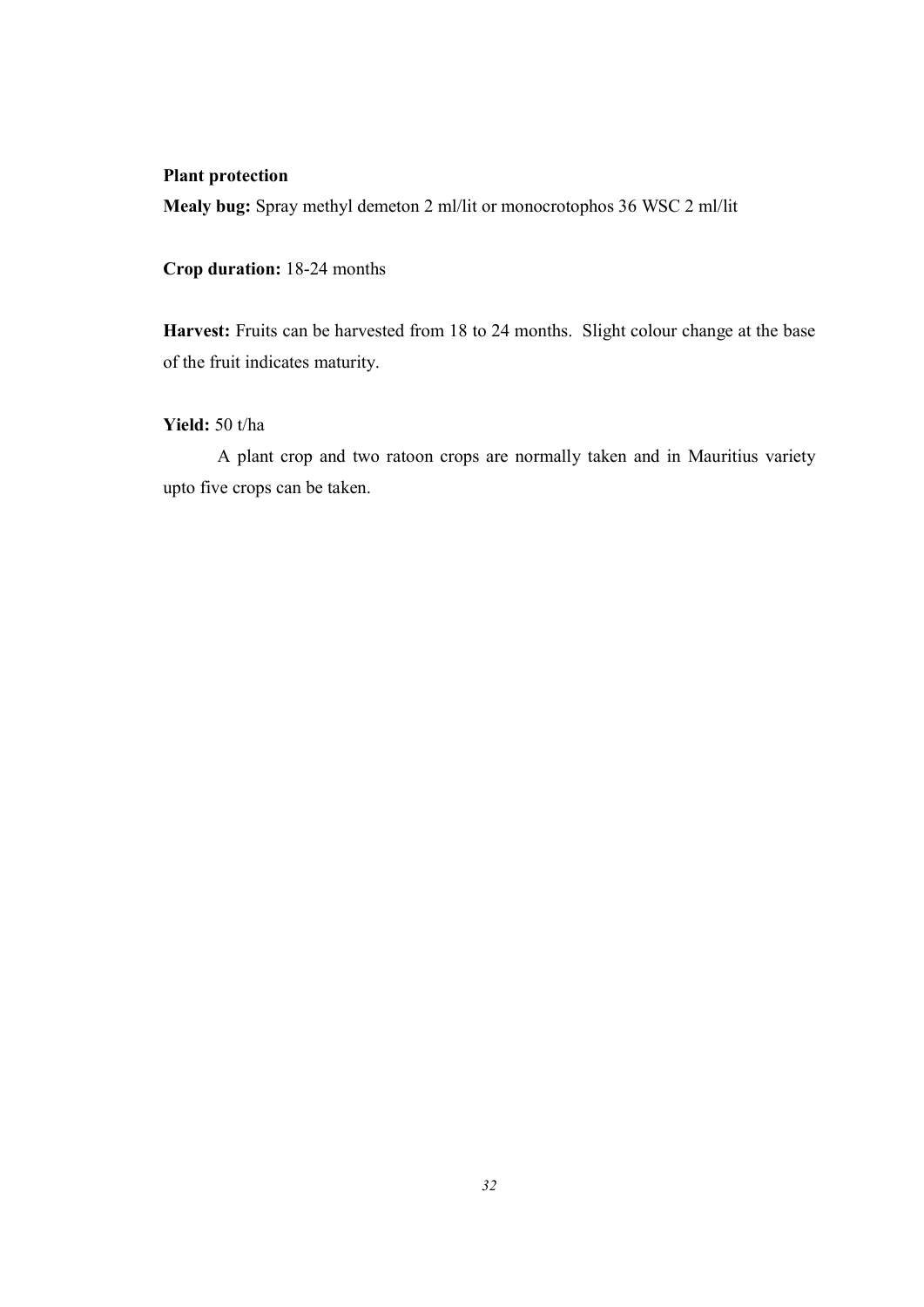## Plant protection

Mealy bug: Spray methyl demeton 2 ml/lit or monocrotophos 36 WSC 2 ml/lit

Crop duration: 18-24 months

Harvest: Fruits can be harvested from 18 to 24 months. Slight colour change at the base of the fruit indicates maturity.

## Yield: 50 t/ha

 A plant crop and two ratoon crops are normally taken and in Mauritius variety upto five crops can be taken.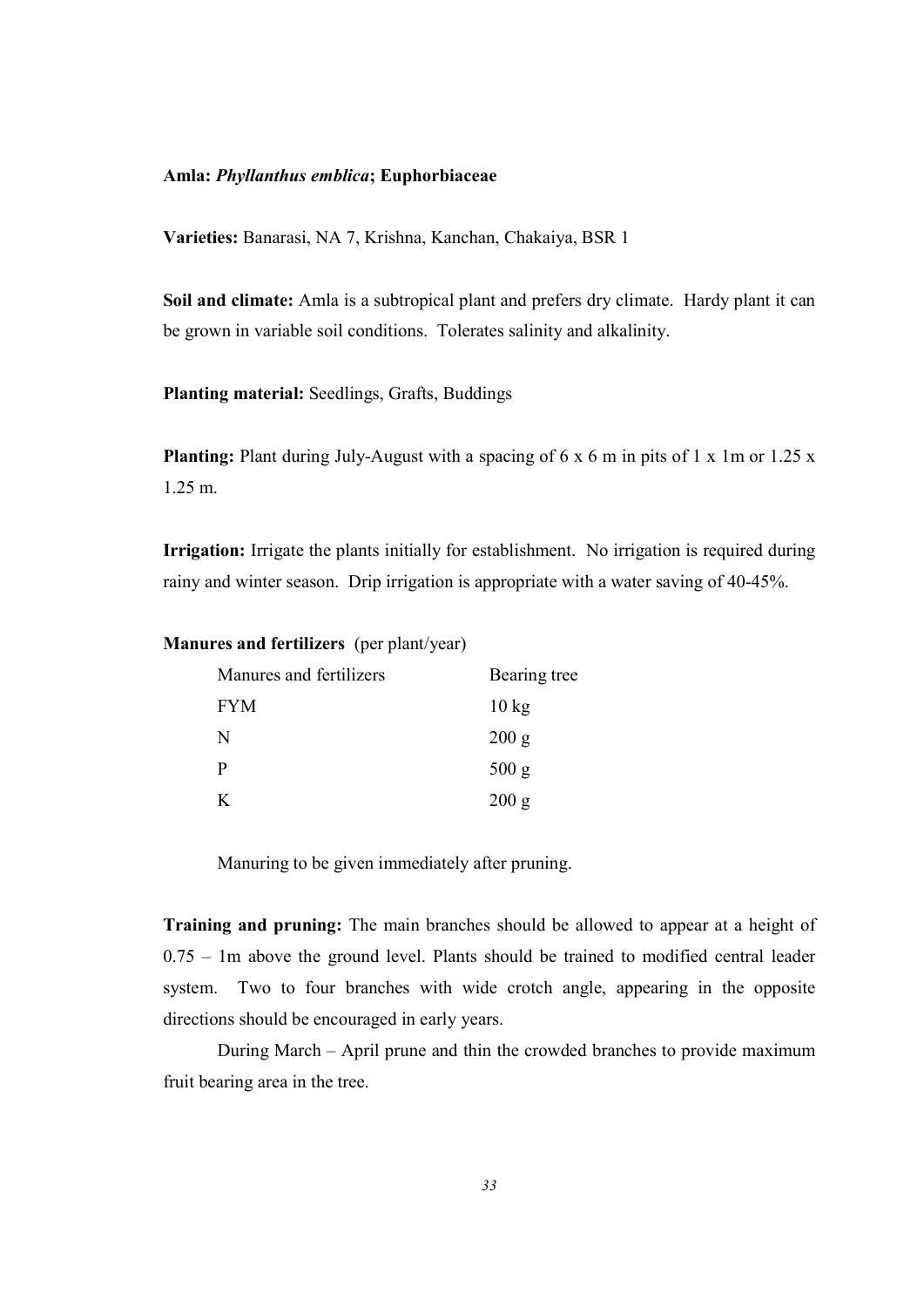#### Amla: Phyllanthus emblica; Euphorbiaceae

Varieties: Banarasi, NA 7, Krishna, Kanchan, Chakaiya, BSR 1

Soil and climate: Amla is a subtropical plant and prefers dry climate. Hardy plant it can be grown in variable soil conditions. Tolerates salinity and alkalinity.

Planting material: Seedlings, Grafts, Buddings

**Planting:** Plant during July-August with a spacing of  $6 \times 6$  m in pits of 1 x 1m or 1.25 x 1.25 m.

Irrigation: Irrigate the plants initially for establishment. No irrigation is required during rainy and winter season. Drip irrigation is appropriate with a water saving of 40-45%.

|  | <b>Manures and fertilizers</b> (per plant/year) |  |
|--|-------------------------------------------------|--|
|  |                                                 |  |

| Manures and fertilizers | Bearing tree    |  |
|-------------------------|-----------------|--|
| <b>FYM</b>              | $10 \text{ kg}$ |  |
| N                       | 200 g           |  |
| P                       | 500 g           |  |
| K                       | 200 g           |  |

Manuring to be given immediately after pruning.

Training and pruning: The main branches should be allowed to appear at a height of 0.75 – 1m above the ground level. Plants should be trained to modified central leader system. Two to four branches with wide crotch angle, appearing in the opposite directions should be encouraged in early years.

 During March – April prune and thin the crowded branches to provide maximum fruit bearing area in the tree.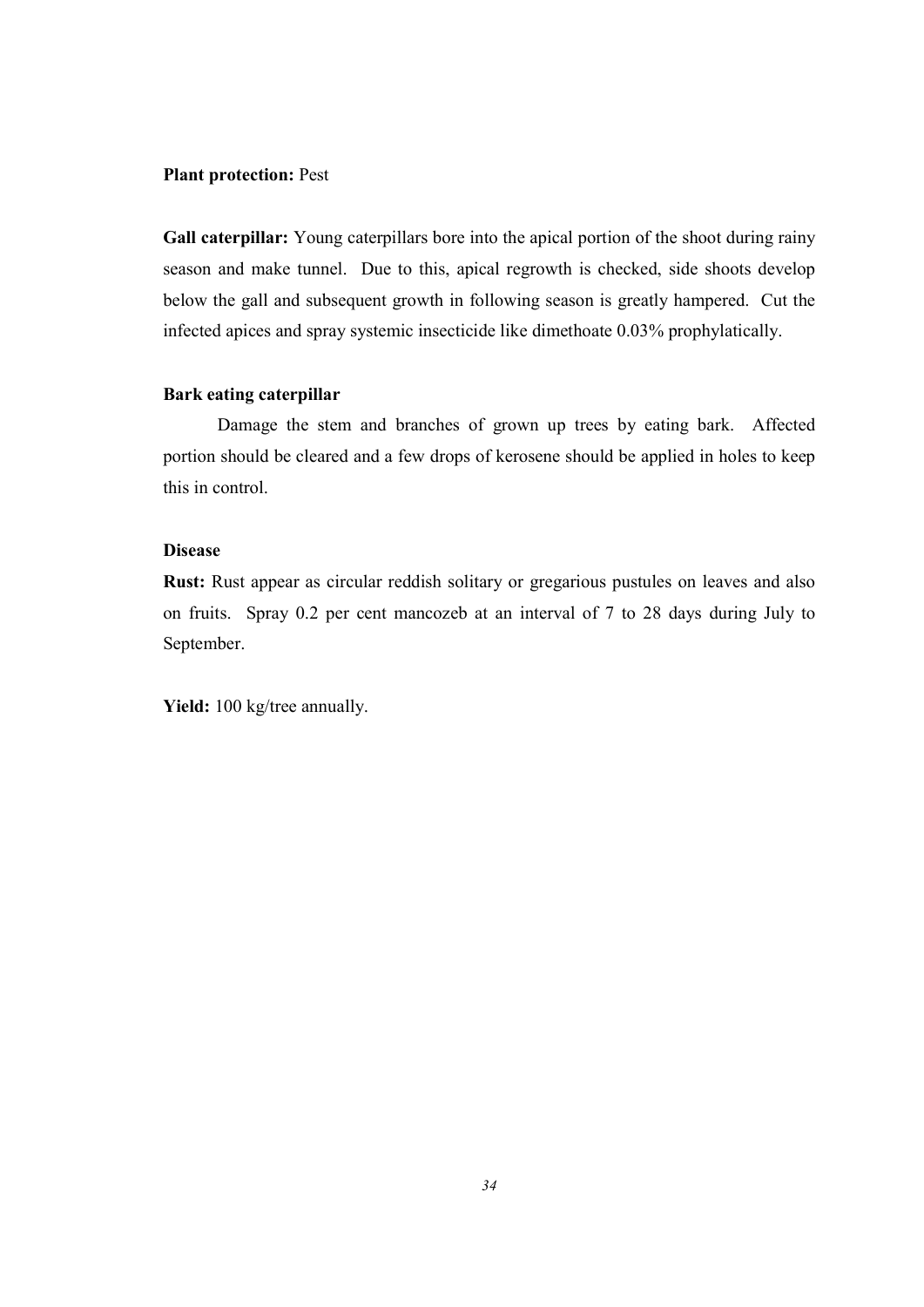#### Plant protection: Pest

Gall caterpillar: Young caterpillars bore into the apical portion of the shoot during rainy season and make tunnel. Due to this, apical regrowth is checked, side shoots develop below the gall and subsequent growth in following season is greatly hampered. Cut the infected apices and spray systemic insecticide like dimethoate 0.03% prophylatically.

## Bark eating caterpillar

 Damage the stem and branches of grown up trees by eating bark. Affected portion should be cleared and a few drops of kerosene should be applied in holes to keep this in control.

#### Disease

Rust: Rust appear as circular reddish solitary or gregarious pustules on leaves and also on fruits. Spray 0.2 per cent mancozeb at an interval of 7 to 28 days during July to September.

Yield: 100 kg/tree annually.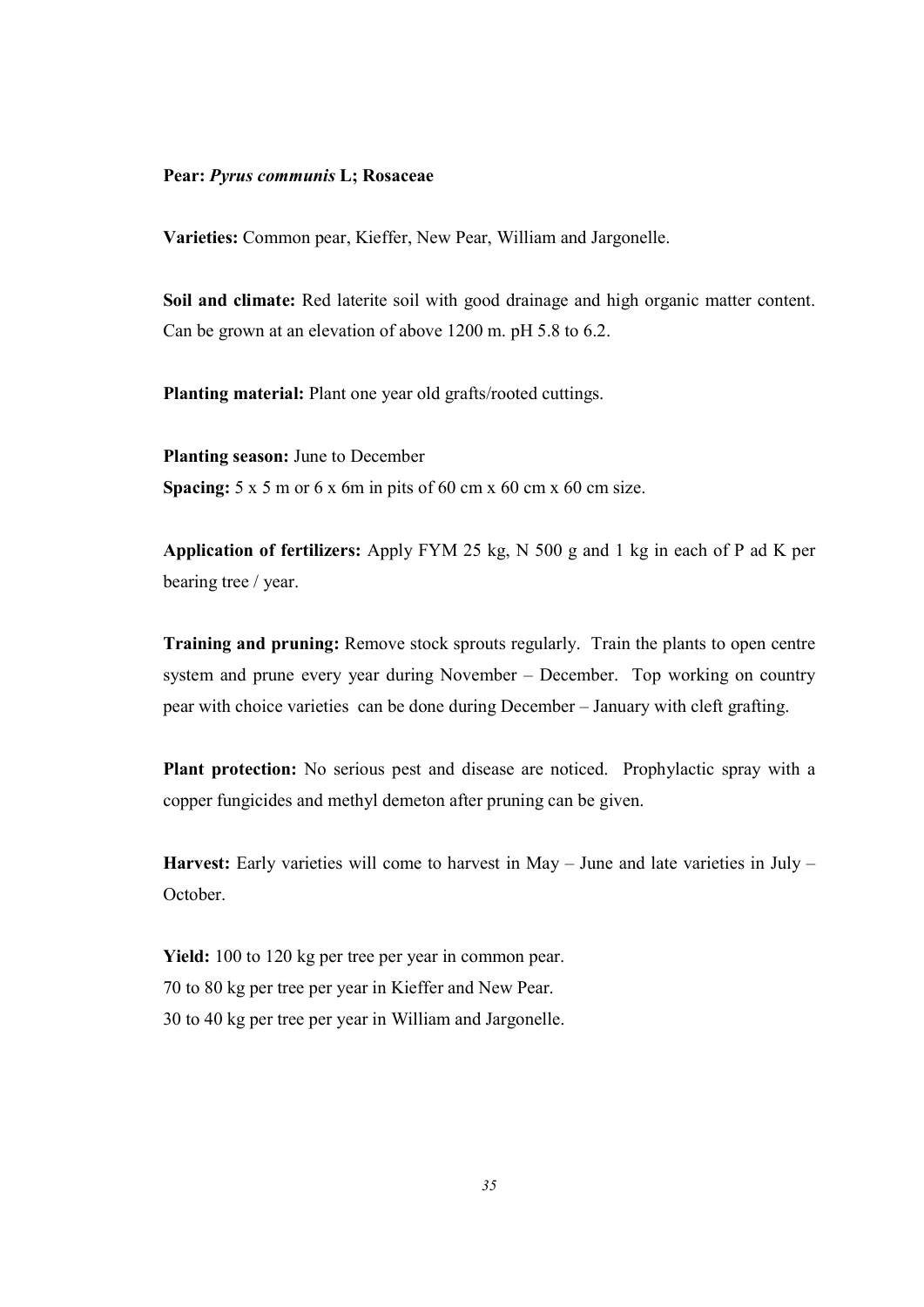## Pear: Pyrus communis L; Rosaceae

Varieties: Common pear, Kieffer, New Pear, William and Jargonelle.

Soil and climate: Red laterite soil with good drainage and high organic matter content. Can be grown at an elevation of above 1200 m. pH 5.8 to 6.2.

Planting material: Plant one year old grafts/rooted cuttings.

Planting season: June to December Spacing:  $5 \times 5$  m or  $6 \times 6$ m in pits of  $60 \text{ cm} \times 60 \text{ cm} \times 60 \text{ cm}$  size.

Application of fertilizers: Apply FYM 25 kg, N 500 g and 1 kg in each of P ad K per bearing tree / year.

Training and pruning: Remove stock sprouts regularly. Train the plants to open centre system and prune every year during November – December. Top working on country pear with choice varieties can be done during December – January with cleft grafting.

Plant protection: No serious pest and disease are noticed. Prophylactic spray with a copper fungicides and methyl demeton after pruning can be given.

Harvest: Early varieties will come to harvest in May  $-$  June and late varieties in July  $-$ October.

Yield: 100 to 120 kg per tree per year in common pear. 70 to 80 kg per tree per year in Kieffer and New Pear. 30 to 40 kg per tree per year in William and Jargonelle.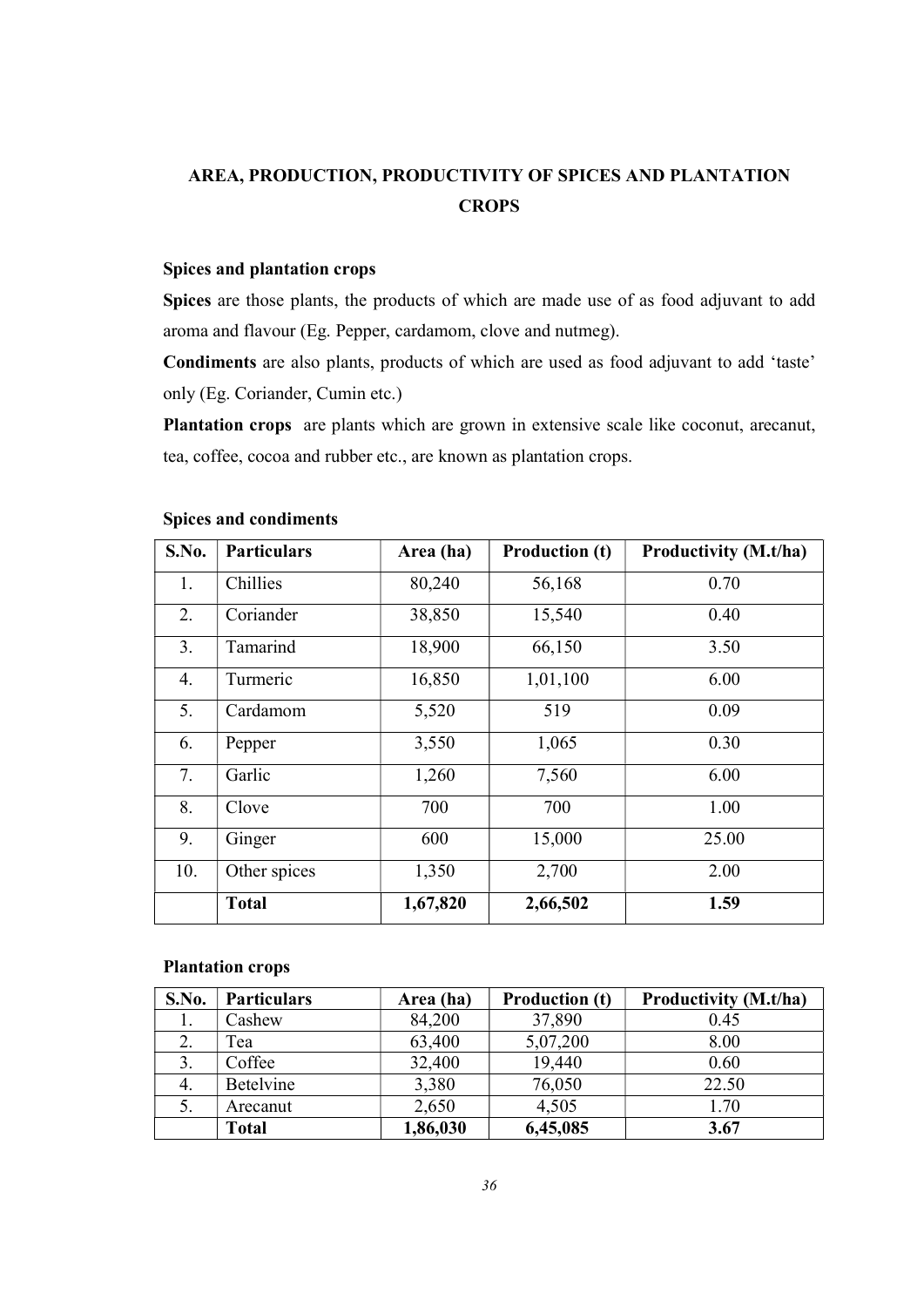# AREA, PRODUCTION, PRODUCTIVITY OF SPICES AND PLANTATION **CROPS**

### Spices and plantation crops

Spices are those plants, the products of which are made use of as food adjuvant to add aroma and flavour (Eg. Pepper, cardamom, clove and nutmeg).

Condiments are also plants, products of which are used as food adjuvant to add 'taste' only (Eg. Coriander, Cumin etc.)

Plantation crops are plants which are grown in extensive scale like coconut, arecanut, tea, coffee, cocoa and rubber etc., are known as plantation crops.

| S.No. | <b>Particulars</b> | Area (ha) | <b>Production (t)</b> | Productivity (M.t/ha) |
|-------|--------------------|-----------|-----------------------|-----------------------|
| 1.    | Chillies           | 80,240    | 56,168                | 0.70                  |
| 2.    | Coriander          | 38,850    | 15,540                | 0.40                  |
| 3.    | Tamarind           | 18,900    | 66,150                | 3.50                  |
| 4.    | Turmeric           | 16,850    | 1,01,100              | 6.00                  |
| 5.    | Cardamom           | 5,520     | 519                   | 0.09                  |
| 6.    | Pepper             | 3,550     | 1,065                 | 0.30                  |
| 7.    | Garlic             | 1,260     | 7,560                 | 6.00                  |
| 8.    | Clove              | 700       | 700                   | 1.00                  |
| 9.    | Ginger             | 600       | 15,000                | 25.00                 |
| 10.   | Other spices       | 1,350     | 2,700                 | 2.00                  |
|       | <b>Total</b>       | 1,67,820  | 2,66,502              | 1.59                  |

## Spices and condiments

#### Plantation crops

| S.No. | <b>Particulars</b> | Area (ha) | <b>Production (t)</b> | Productivity (M.t/ha) |
|-------|--------------------|-----------|-----------------------|-----------------------|
| Ι.    | Cashew             | 84,200    | 37,890                | 0.45                  |
|       | Tea                | 63,400    | 5,07,200              | 8.00                  |
| 3.    | Coffee             | 32,400    | 19,440                | 0.60                  |
|       | <b>Betelvine</b>   | 3,380     | 76,050                | 22.50                 |
| 5.    | Arecanut           | 2,650     | 4,505                 | 1.70                  |
|       | <b>Total</b>       | 1,86,030  | 6,45,085              | 3.67                  |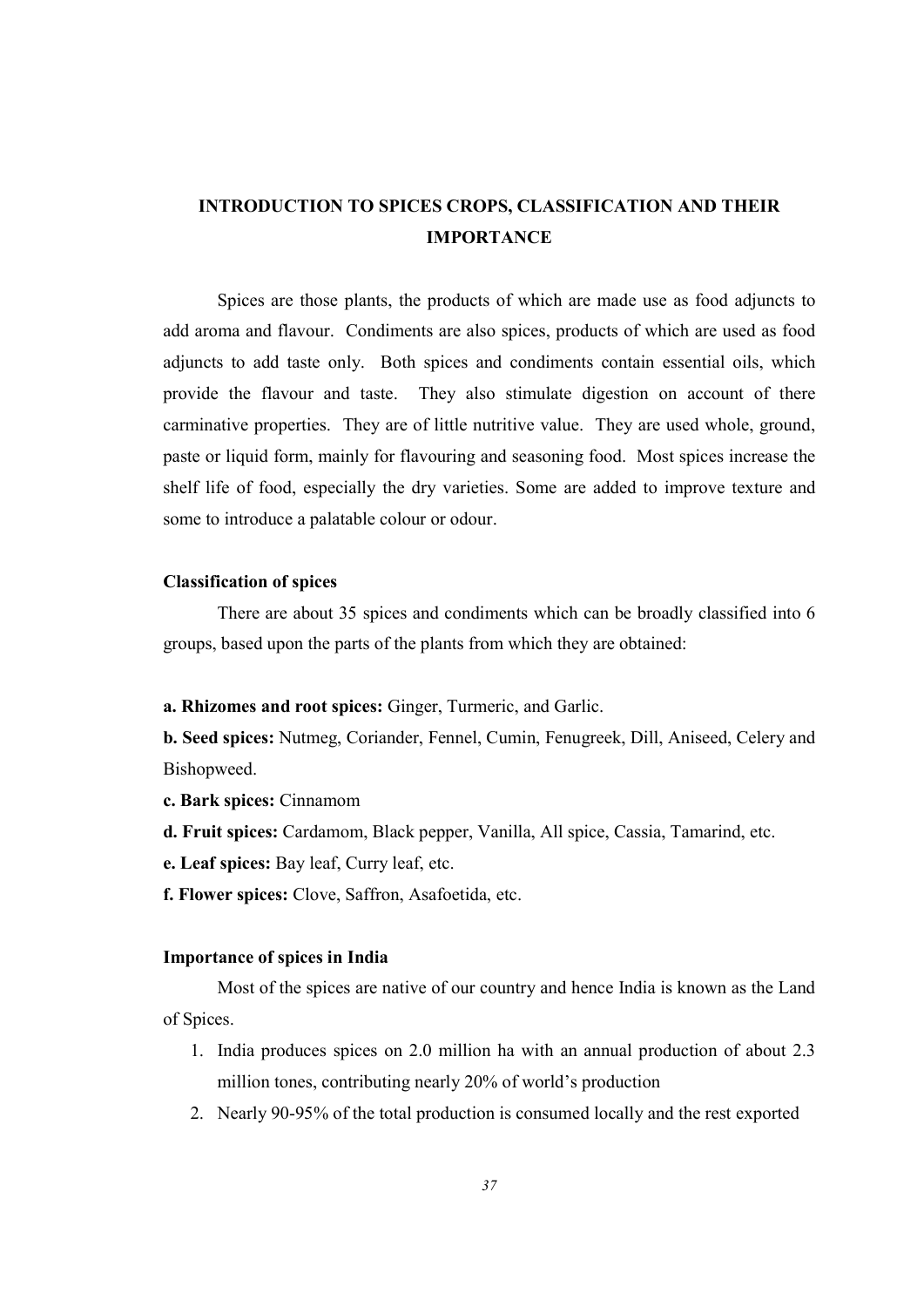# INTRODUCTION TO SPICES CROPS, CLASSIFICATION AND THEIR IMPORTANCE

 Spices are those plants, the products of which are made use as food adjuncts to add aroma and flavour. Condiments are also spices, products of which are used as food adjuncts to add taste only. Both spices and condiments contain essential oils, which provide the flavour and taste. They also stimulate digestion on account of there carminative properties. They are of little nutritive value. They are used whole, ground, paste or liquid form, mainly for flavouring and seasoning food. Most spices increase the shelf life of food, especially the dry varieties. Some are added to improve texture and some to introduce a palatable colour or odour.

#### Classification of spices

 There are about 35 spices and condiments which can be broadly classified into 6 groups, based upon the parts of the plants from which they are obtained:

a. Rhizomes and root spices: Ginger, Turmeric, and Garlic.

b. Seed spices: Nutmeg, Coriander, Fennel, Cumin, Fenugreek, Dill, Aniseed, Celery and Bishopweed.

- c. Bark spices: Cinnamom
- d. Fruit spices: Cardamom, Black pepper, Vanilla, All spice, Cassia, Tamarind, etc.
- e. Leaf spices: Bay leaf, Curry leaf, etc.
- f. Flower spices: Clove, Saffron, Asafoetida, etc.

#### Importance of spices in India

 Most of the spices are native of our country and hence India is known as the Land of Spices.

- 1. India produces spices on 2.0 million ha with an annual production of about 2.3 million tones, contributing nearly 20% of world's production
- 2. Nearly 90-95% of the total production is consumed locally and the rest exported